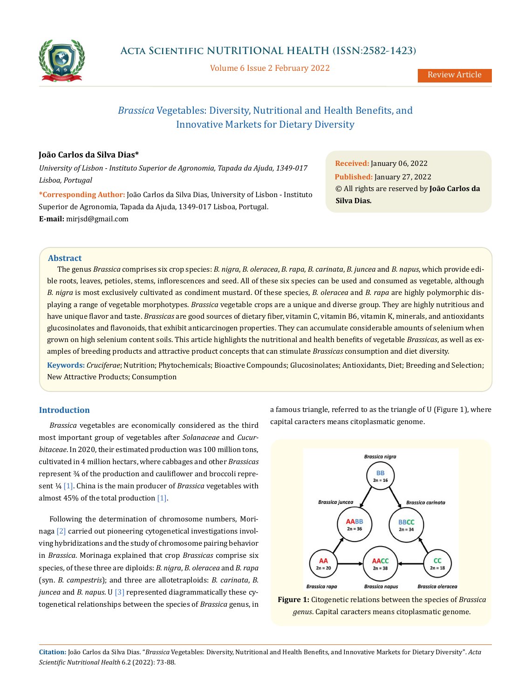

Volume 6 Issue 2 February 2022

# *Brassica* Vegetables: Diversity, Nutritional and Health Benefits, and Innovative Markets for Dietary Diversity

# **João Carlos da Silva Dias\***

*University of Lisbon - Instituto Superior de Agronomia, Tapada da Ajuda, 1349-017 Lisboa, Portugal*

**\*Corresponding Author:** João Carlos da Silva Dias, University of Lisbon - Instituto Superior de Agronomia, Tapada da Ajuda, 1349-017 Lisboa, Portugal. **E-mail:** [mirjsd@gmail.com](mailto:mirjsd%40gmail.com?subject=)

**Received:** January 06, 2022 **Published:** January 27, 2022 © All rights are reserved by **João Carlos da Silva Dias***.*

# **Abstract**

The genus *Brassica* comprises six crop species: *B. nigra*, *B. oleracea*, *B*. *rapa*, *B. carinata*, *B. juncea* and *B. napus*, which provide edible roots, leaves, petioles, stems, inflorescences and seed. All of these six species can be used and consumed as vegetable, although *B. nigra* is most exclusively cultivated as condiment mustard. Of these species, *B. oleracea* and *B. rapa* are highly polymorphic displaying a range of vegetable morphotypes. *Brassica* vegetable crops are a unique and diverse group. They are highly nutritious and have unique flavor and taste. *Brassicas* are good sources of dietary fiber, vitamin C, vitamin B6, vitamin K, minerals, and antioxidants glucosinolates and flavonoids, that exhibit anticarcinogen properties. They can accumulate considerable amounts of selenium when grown on high selenium content soils. This article highlights the nutritional and health benefits of vegetable *Brassicas*, as well as examples of breeding products and attractive product concepts that can stimulate *Brassicas* consumption and diet diversity. **Keywords:** *Cruciferae*; Nutrition; Phytochemicals; Bioactive Compounds; Glucosinolates; Antioxidants, Diet; Breeding and Selection;

New Attractive Products; Consumption

# **Introduction**

*Brassica* vegetables are economically considered as the third most important group of vegetables after *Solanaceae* and *Cucurbitaceae*. In 2020, their estimated production was 100 million tons, cultivated in 4 million hectars, where cabbages and other *Brassicas* represent ¾ of the production and cauliflower and broccoli represent ¼ [1]. China is the main producer of *Brassica* vegetables with almost 45% of the total production [1].

Following the determination of chromosome numbers, Morinaga [2] carried out pioneering cytogenetical investigations involving hybridizations and the study of chromosome pairing behavior in *Brassica*. Morinaga explained that crop *Brassicas* comprise six species*,* of these three are diploids: *B. nigra*, *B. oleracea* and *B. rapa* (syn. *B. campestris*); and three are allotetraploids: *B. carinata*, *B. juncea* and *B. napus*. U [3] represented diagrammatically these cytogenetical relationships between the species of *Brassica* genus, in a famous triangle, referred to as the triangle of U (Figure 1), where capital caracters means citoplasmatic genome.



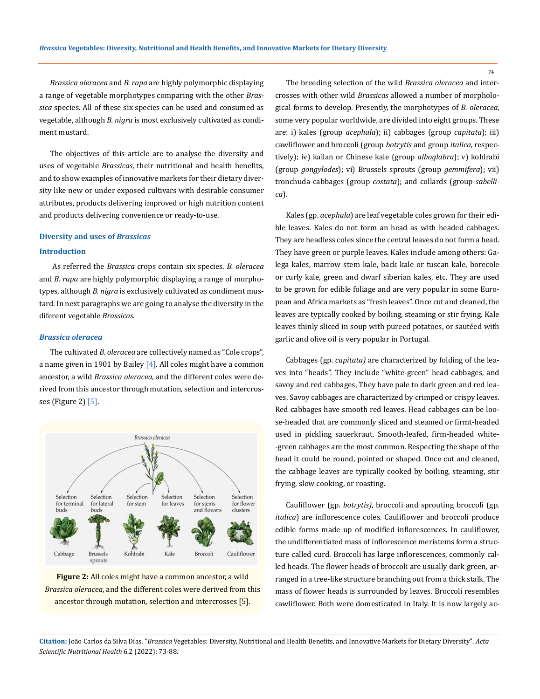*Brassica oleracea* and *B. rapa* are highly polymorphic displaying a range of vegetable morphotypes comparing with the other *Brassica* species. All of these six species can be used and consumed as vegetable, although *B. nigra* is most exclusively cultivated as condiment mustard.

The objectives of this article are to analyse the diversity and uses of vegetable *Brassicas*, their nutritional and health benefits, and to show examples of innovative markets for their dietary diversity like new or under exposed cultivars with desirable consumer attributes, products delivering improved or high nutrition content and products delivering convenience or ready-to-use.

#### **Diversity and uses of** *Brassicas*

## **Introduction**

 As referred the *Brassica* crops contain six species. *B. oleracea*  and *B. rapa* are highly polymorphic displaying a range of morphotypes, although *B. nigra* is exclusively cultivated as condiment mustard. In next paragraphs we are going to analyse the diversity in the diferent vegetable *Brassicas*.

#### *Brassica oleracea*

The cultivated *B. oleracea* are collectively named as "Cole crops", a name given in 1901 by Bailey  $[4]$ . All coles might have a common ancestor, a wild *Brassica oleracea*, and the different coles were derived from this ancestor through mutation, selection and intercrosses (Figure 2) [5].



**Figure 2:** All coles might have a common ancestor, a wild *Brassica oleracea*, and the different coles were derived from this ancestor through mutation, selection and intercrosses [5].

The breeding selection of the wild *Brassica oleracea* and intercrosses with other wild *Brassicas* allowed a number of morphological forms to develop. Presently, the morphotypes of *B. oleracea,*  some very popular worldwide*,* are divided into eight groups. These are: i) kales (group *acephala*); ii) cabbages (group *capitata*); iii) cawliflower and broccoli (group *botrytis* and group *italica,* respectively); iv) kailan or Chinese kale (group *alboglabra*); v) kohlrabi (group *gongylodes*); vi) Brussels sprouts (group *gemmifera*); vii) tronchuda cabbages (group *costata*); and collards (group *sabellica*).

Kales (gp. *acephala*) are leaf vegetable coles grown for their [edi](https://en.wikipedia.org/wiki/Vegetable)[ble leaves](https://en.wikipedia.org/wiki/Vegetable). Kales do not form an head as with headed cabbages. They are headless coles since the central leaves do not form a head. They have green or purple leaves. Kales include among others: Galega kales, marrow stem kale, back kale or tuscan kale, borecole or curly kale, green and dwarf siberian kales, etc. They are used to be grown for edible foliage and are very popular in some European and Africa markets as "fresh leaves". Once cut and cleaned, the leaves are typically cooked by boiling, steaming or stir frying. Kale leaves thinly sliced in soup with pureed potatoes, or sautéed with garlic and olive oil is very popular in Portugal.

Cabbages (gp. *capitata)* are characterized by folding of the leaves into "heads". They include "white-green" head cabbages, and savoy and red cabbages, They have pale to dark green and red leaves. Savoy cabbages are characterized by crimped or crispy leaves. Red cabbages have smooth red leaves. Head cabbages can be loose-headed that are commonly sliced and steamed or firmt-headed used in pickling sauerkraut. Smooth-leafed, firm-headed white- -green cabbages are the most common. Respecting the shape of the head it could be round, pointed or shaped. Once cut and cleaned, the cabbage leaves are typically cooked by boiling, steaming, stir frying, slow cooking, or roasting.

Cauliflower (gp. *botrytis)*, broccoli and sprouting broccoli (gp. *italica*) are inflorescence coles. Cauliflower and broccoli produce edible forms made up of modified inflorescences. In cauliflower, the undifferentiated mass of inflorescence meristems form a structure called curd. Broccoli has large inflorescences, commonly called heads. The flower heads of broccoli are usually dark green, arranged in a tree-like structure branching out from a thick stalk. The mass of flower heads is surrounded by leaves. Broccoli resembles cawliflower. Both were domesticated in Italy. It is now largely ac-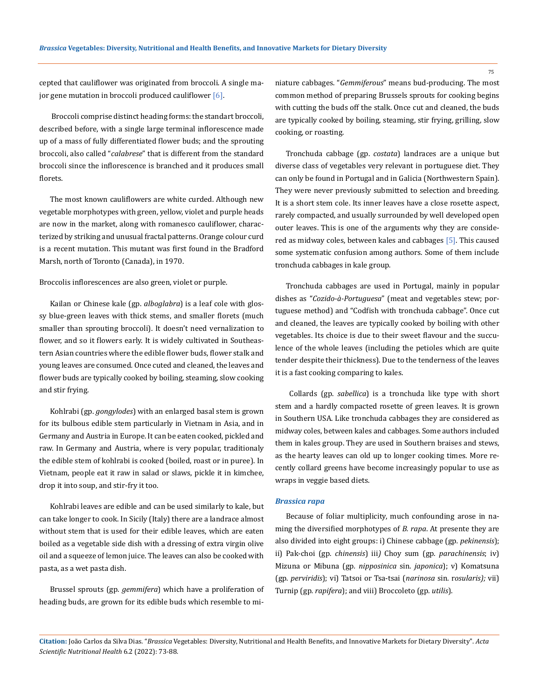cepted that cauliflower was originated from broccoli. A single major gene mutation in broccoli produced cauliflower [6].

 Broccoli comprise distinct heading forms: the standart broccoli, described before, with a single large terminal inflorescence made up of a mass of fully differentiated flower buds; and the sprouting broccoli, also called "*calabrese*" that is different from the standard broccoli since the inflorescence is branched and it produces small florets.

The most known cauliflowers are white curded. Although new vegetable morphotypes with green, yellow, violet and purple heads are now in the market, along with romanesco cauliflower, characterized by striking and unusual fractal patterns. Orange colour curd is a recent mutation. This mutant was first found in the Bradford Marsh, north of Toronto (Canada), in 1970.

Broccolis inflorescences are also green, violet or purple.

Kailan or Chinese kale (gp. *alboglabra*) is a leaf cole with glossy blue-green leaves with thick stems, and smaller florets (much smaller than sprouting broccoli). It doesn't need vernalization to flower, and so it flowers early. It is widely cultivated in Southeastern Asian countries where the edible flower buds, flower stalk and young leaves are consumed*.* Once cuted and cleaned, the leaves and flower buds are typically cooked by boiling, steaming, slow cooking and stir frying.

Kohlrabi (gp. *gongylodes*) with an enlarged basal stem is grown for its bulbous edible stem particularly in Vietnam in Asia, and in Germany and Austria in Europe. It can be [eaten cooked, pickled and](https://en.wikipedia.org/wiki/Raw_foodism)  [raw.](https://en.wikipedia.org/wiki/Raw_foodism) In Germany and Austria, where is very popular, traditionaly the edible stem of kohlrabi is cooked (boiled, roast or in puree). In Vietnam, people eat it raw in salad or slaws, pickle it in kimchee, drop it into soup, and stir-fry it too.

Kohlrabi leaves are edible and can be used similarly to [kale](https://en.wikipedia.org/wiki/Kale), but can take longer to cook. In Sicily (Italy) there are a landrace almost without stem that is used for their edible leaves, which are eaten boiled as a vegetable side dish with a dressing of extra virgin olive oil and a squeeze of lemon juice. The leaves can also be cooked with pasta, as a wet pasta dish.

Brussel sprouts (gp. *gemmifera*) which have a proliferation of heading buds, are grown for its edible buds which resemble to miniature cabbages. "*Gemmiferous*" means bud-producing. The most common method of preparing Brussels sprouts for cooking begins with cutting the buds off the stalk. Once cut and cleaned, the buds are typically cooked by boiling, steaming, stir frying, grilling, slow cooking, or roasting.

Tronchuda cabbage (gp. *costata*) landraces are a unique but diverse class of vegetables very relevant in portuguese diet. They can only be found in Portugal and in Galicia (Northwestern Spain). They were never previously submitted to selection and breeding. It is a short stem cole. Its inner leaves have a close rosette aspect, rarely compacted, and usually surrounded by well developed open outer leaves. This is one of the arguments why they are considered as midway coles, between kales and cabbages [5]. This caused some systematic confusion among authors. Some of them include tronchuda cabbages in kale group.

Tronchuda cabbages are used in Portugal, mainly in popular dishes as "*Cozido-à-Portuguesa*" (meat and vegetables stew; portuguese method) and "Codfish with tronchuda cabbage". Once cut and cleaned, the leaves are typically cooked by boiling with other vegetables. Its choice is due to their sweet flavour and the succulence of the whole leaves (including the petioles which are quite tender despite their thickness). Due to the tenderness of the leaves it is a fast cooking comparing to kales.

 Collards (gp. *sabellica*) is a tronchuda like type with short stem and a hardly compacted rosette of green leaves. It is grown in Southern USA. Like tronchuda cabbages they are considered as midway coles, between kales and cabbages. Some authors included them in kales group. They are used in Southern braises and stews, as the hearty leaves can old up to longer cooking times. More recently collard greens have become increasingly popular to use as wraps in veggie based diets.

#### *Brassica rapa*

Because of foliar multiplicity, much confounding arose in naming the diversified morphotypes of *B. rapa*. At presente they are also divided into eight groups: i) Chinese cabbage (gp*. pekinensis*); ii) Pak-choi (gp*. chinensis*) iii*)* Choy sum (gp*. parachinensis*; iv) Mizuna or Mibuna (gp*. nipposinica* sin. *japonica*); v) Komatsuna (gp. *perviridis*); vi) Tatsoi or Tsa-tsai (*narinosa* sin. r*osularis);* vii) Turnip (gp*. rapifera*); and viii) Broccoleto (gp*. utilis*).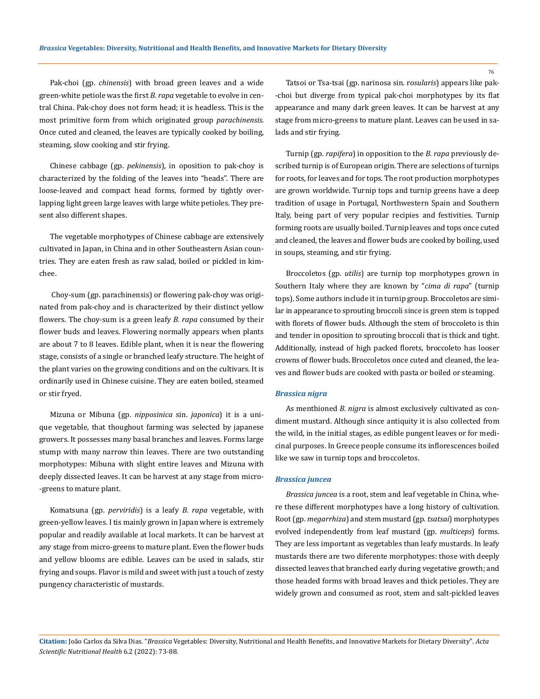Pak-choi (gp. *chinensis*) with broad green leaves and a wide green-white petiole was the first *B. rapa* vegetable to evolve in central China. Pak-choy does not form head; it is headless. This is the most primitive form from which originated group *parachinensis.* Once cuted and cleaned, the leaves are typically cooked by boiling, steaming, slow cooking and stir frying.

Chinese cabbage (gp. *pekinensis*), in oposition to pak-choy is characterized by the folding of the leaves into "heads". There are loose-leaved and compact head forms, formed by tightly overlapping light green large leaves with large white petioles. They present also different shapes.

The vegetable morphotypes of Chinese cabbage are extensively cultivated in Japan, in China and in other Southeastern Asian countries. They are eaten fresh as raw salad, boiled or pickled in kimchee.

 Choy-sum (gp. parachinensis) or flowering pak-choy was originated from pak-choy and is characterized by their distinct yellow flowers. The choy-sum is a green leafy *B. rapa* consumed by their flower buds and leaves. Flowering normally appears when plants are about 7 to 8 leaves. Edible plant, when it is near the flowering stage, consists of a single or branched leafy structure. The height of the plant varies on the growing conditions and on the cultivars. It is ordinarily used in Chinese cuisine. They are eaten boiled, steamed or stir fryed.

Mizuna or Mibuna (gp. *nipposinica* sin. *japonica*) it is a unique vegetable, that thoughout farming was selected by japanese growers. It possesses many basal branches and leaves. Forms large stump with many narrow thin leaves. There are two outstanding morphotypes: Mibuna with slight entire leaves and Mizuna with deeply dissected leaves. It can be harvest at any stage from micro- -greens to mature plant.

Komatsuna (gp. *perviridis*) is a leafy *B. rapa* vegetable, with green-yellow leaves. I tis mainly grown in Japan where is extremely popular and readily available at local markets. It can be harvest at any stage from micro-greens to mature plant. Even the flower buds and yellow blooms are edible. Leaves can be used in salads, stir frying and soups. Flavor is mild and sweet with just a touch of zesty pungency characteristic of mustards.

Tatsoi or Tsa-tsai (gp. narinosa sin. r*osularis*) appears like pak- -choi but diverge from typical pak-choi morphotypes by its flat appearance and many dark green leaves. It can be harvest at any stage from micro-greens to mature plant. Leaves can be used in salads and stir frying.

Turnip (gp*. rapifera*) in opposition to the *B. rapa* previously described turnip is of European origin. There are selections of turnips for roots, for leaves and for tops. The root production morphotypes are grown worldwide. Turnip tops and turnip greens have a deep tradition of usage in Portugal, Northwestern Spain and Southern Italy, being part of very popular recipies and festivities. Turnip forming roots are usually boiled. Turnip leaves and tops once cuted and cleaned, the leaves and flower buds are cooked by boiling, used in soups, steaming, and stir frying.

Broccoletos (gp*. utilis*) are turnip top morphotypes grown in Southern Italy where they are known by "*cima di rapa*" (turnip tops). Some authors include it in turnip group. Broccoletos are similar in appearance to sprouting broccoli since is green stem is topped with florets of flower buds. Although the stem of broccoleto is thin and tender in oposition to sprouting broccoli that is thick and tight. Additionally, instead of high packed florets, broccoleto has looser crowns of flower buds. Broccoletos once cuted and cleaned, the leaves and flower buds are cooked with pasta or boiled or steaming.

## *Brassica nigra*

As menthioned *B. nigra* is almost exclusively cultivated as condiment mustard. Although since antiquity it is also collected from the wild, in the initial stages, as edible pungent leaves or for medicinal purposes. In Greece people consume its inflorescences boiled like we saw in turnip tops and broccoletos.

#### *Brassica juncea*

*Brassica juncea* is a root, stem and leaf vegetable in China, where these different morphotypes have a long history of cultivation. Root (gp. *megarrhiza*) and stem mustard (gp. *tsatsai*) morphotypes evolved independently from leaf mustard (gp. *multiceps*) forms. They are less important as vegetables than leafy mustards. In leafy mustards there are two diferente morphotypes: those with deeply dissected leaves that branched early during vegetative growth; and those headed forms with broad leaves and thick petioles. They are widely grown and consumed as root, stem and salt-pickled leaves

**Citation:** João Carlos da Silva Dias*.* "*Brassica* Vegetables: Diversity, Nutritional and Health Benefits, and Innovative Markets for Dietary Diversity". *Acta Scientific Nutritional Health* 6.2 (2022): 73-88.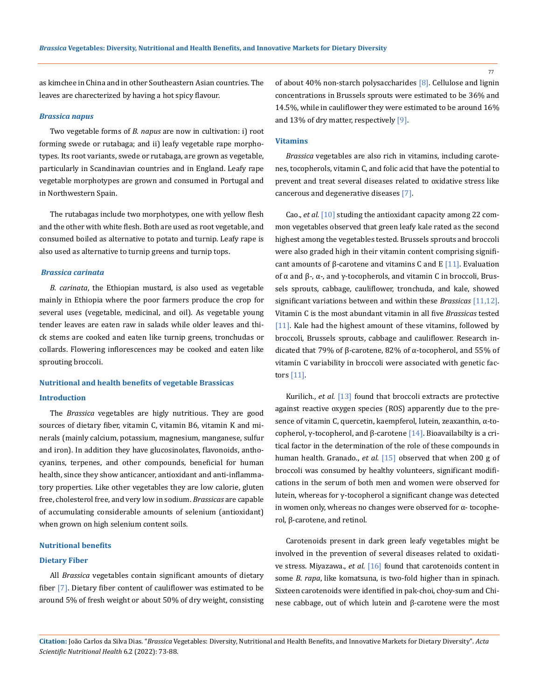as kimchee in China and in other Southeastern Asian countries. The leaves are charecterized by having a hot spicy flavour.

#### *Brassica napus*

Two vegetable forms of *B. napus* are now in cultivation: i) root forming swede or rutabaga; and ii) leafy vegetable rape morphotypes. Its root variants, swede or rutabaga, are grown as vegetable, particularly in Scandinavian countries and in England. Leafy rape vegetable morphotypes are grown and consumed in Portugal and in Northwestern Spain.

The rutabagas include two morphotypes, one with yellow flesh and the other with white flesh. Both are used as root vegetable, and consumed boiled as alternative to potato and turnip. Leafy rape is also used as alternative to turnip greens and turnip tops.

# *Brassica carinata*

*B. carinata*, the Ethiopian mustard, is also used as vegetable mainly in Ethiopia where the poor farmers produce the crop for several uses (vegetable, medicinal, and oil). As vegetable young tender leaves are eaten raw in salads while older leaves and thick stems are cooked and eaten like turnip greens, tronchudas or collards. Flowering inflorescences may be cooked and eaten like sprouting broccoli.

# **Nutritional and health benefits of vegetable Brassicas Introduction**

The *Brassica* vegetables are higly nutritious. They are good sources of dietary fiber, vitamin C, vitamin B6, vitamin K and minerals (mainly calcium, potassium, magnesium, manganese, sulfur and iron). In addition they have glucosinolates, flavonoids, anthocyanins, terpenes, and other compounds, beneficial for human health, since they show anticancer, antioxidant and anti-inflammatory properties. Like other vegetables they are low calorie, gluten free, cholesterol free, and very low in sodium. *Brassicas* are capable of accumulating considerable amounts of selenium (antioxidant) when grown on high selenium content soils.

## **Nutritional benefits**

#### **Dietary Fiber**

All *Brassica* vegetables contain significant amounts of dietary fiber [7]. Dietary fiber content of cauliflower was estimated to be around 5% of fresh weight or about 50% of dry weight, consisting of about 40% non-starch polysaccharides [8]. Cellulose and lignin concentrations in Brussels sprouts were estimated to be 36% and 14.5%, while in cauliflower they were estimated to be around 16% and 13% of dry matter, respectively  $[9]$ .

# **Vitamins**

*Brassica* vegetables are also rich in vitamins, including carotenes, tocopherols, vitamin C, and folic acid that have the potential to prevent and treat several diseases related to oxidative stress like cancerous and degenerative diseases [7].

Cao., *et al.* [10] studing the antioxidant capacity among 22 common vegetables observed that green leafy kale rated as the second highest among the vegetables tested. Brussels sprouts and broccoli were also graded high in their vitamin content comprising significant amounts of β-carotene and vitamins C and E [11]. Evaluation of α and β-, α-, and γ-tocopherols, and vitamin C in broccoli, Brussels sprouts, cabbage, cauliflower, tronchuda, and kale, showed significant variations between and within these *Brassicas* [11,12]. Vitamin C is the most abundant vitamin in all five *Brassicas* tested [11]. Kale had the highest amount of these vitamins, followed by broccoli, Brussels sprouts, cabbage and cauliflower. Research indicated that 79% of β-carotene, 82% of α-tocopherol, and 55% of vitamin C variability in broccoli were associated with genetic factors [11].

Kurilich., *et al.* [13] found that broccoli extracts are protective against reactive oxygen species (ROS) apparently due to the presence of vitamin C, quercetin, kaempferol, lutein, zeaxanthin, α-tocopherol, γ-tocopherol, and β-carotene [14]. Bioavailabilty is a critical factor in the determination of the role of these compounds in human health. Granado., *et al.* [15] observed that when 200 g of broccoli was consumed by healthy volunteers, significant modifications in the serum of both men and women were observed for lutein, whereas for γ-tocopherol a significant change was detected in women only, whereas no changes were observed for α- tocopherol, β-carotene, and retinol.

Carotenoids present in dark green leafy vegetables might be involved in the prevention of several diseases related to oxidative stress. Miyazawa., *et al.* [16] found that carotenoids content in some *B. rapa*, like komatsuna, is two-fold higher than in spinach. Sixteen carotenoids were identified in pak-choi, choy-sum and Chinese cabbage, out of which lutein and β-carotene were the most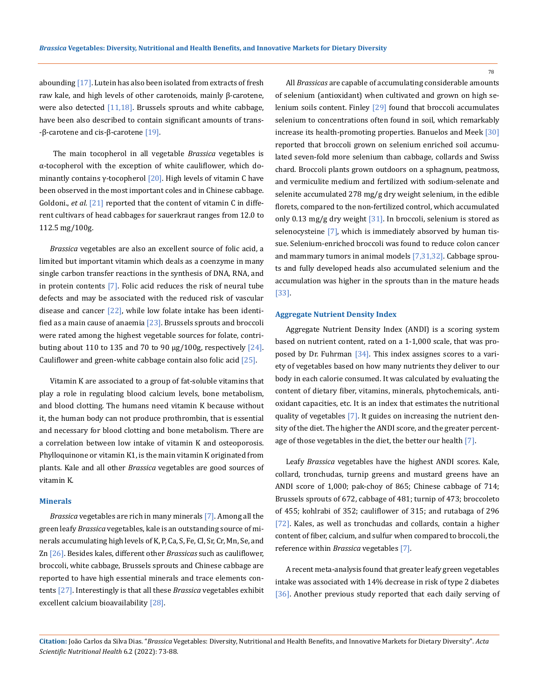abounding [17]. Lutein has also been isolated from extracts of fresh raw kale, and high levels of other carotenoids, mainly β-carotene, were also detected  $[11,18]$ . Brussels sprouts and white cabbage, have been also described to contain significant amounts of trans- -β-carotene and cis-β-carotene  $[19]$ .

 The main tocopherol in all vegetable *Brassica* vegetables is α-tocopherol with the exception of white cauliflower, which dominantly contains  $\gamma$ -tocopherol [20]. High levels of vitamin C have been observed in the most important coles and in Chinese cabbage. Goldoni., *et al.* [21] reported that the content of vitamin C in different cultivars of head cabbages for sauerkraut ranges from 12.0 to 112.5 mg/100g.

*Brassica* vegetables are also an excellent source of folic acid, a limited but important vitamin which deals as a coenzyme in many single carbon transfer reactions in the synthesis of DNA, RNA, and in protein contents [7]. Folic acid reduces the risk of neural tube defects and may be associated with the reduced risk of vascular disease and cancer [22], while low folate intake has been identified as a main cause of anaemia  $[23]$ . Brussels sprouts and broccoli were rated among the highest vegetable sources for folate, contributing about 110 to 135 and 70 to 90  $\mu$ g/100g, respectively [24]. Cauliflower and green-white cabbage contain also folic acid [25].

Vitamin K are associated to a group of fat-soluble vitamins that play a role in regulating blood calcium levels, bone metabolism, and blood clotting. The humans need vitamin K because without it, the human body can not produce prothrombin, that is essential and necessary for blood clotting and bone metabolism. There are a correlation between low intake of vitamin K and osteoporosis. Phylloquinone or vitamin K1, is the main vitamin K originated from plants. Kale and all other *Brassica* vegetables are good sources of vitamin K.

# **Minerals**

*Brassica* vegetables are rich in many minerals [7]. Among all the green leafy *Brassica* vegetables, kale is an outstanding source of minerals accumulating high levels of K, P, Ca, S, Fe, Cl, Sr, Cr, Mn, Se, and Zn [26]. Besides kales, different other *Brassicas* such as cauliflower, broccoli, white cabbage, Brussels sprouts and Chinese cabbage are reported to have high essential minerals and trace elements contents [27]. Interestingly is that all these *Brassica* vegetables exhibit excellent calcium bioavailability [28].

All *Brassicas* are capable of accumulating considerable amounts of selenium (antioxidant) when cultivated and grown on high selenium soils content. Finley [29] found that broccoli accumulates selenium to concentrations often found in soil, which remarkably increase its health-promoting properties. Banuelos and Meek [30] reported that broccoli grown on selenium enriched soil accumulated seven-fold more selenium than cabbage, collards and Swiss chard. Broccoli plants grown outdoors on a sphagnum, peatmoss, and vermiculite medium and fertilized with sodium-selenate and selenite accumulated 278 mg/g dry weight selenium, in the edible florets, compared to the non-fertilized control, which accumulated only 0.13 mg/g dry weight [31]. In broccoli, selenium is stored as selenocysteine [7], which is immediately absorved by human tissue. Selenium-enriched broccoli was found to reduce colon cancer and mammary tumors in animal models [7,31,32]. Cabbage sprouts and fully developed heads also accumulated selenium and the accumulation was higher in the sprouts than in the mature heads [33].

# **Aggregate Nutrient Density Index**

Aggregate Nutrient Density Index (ANDI) is a scoring system based on nutrient content, rated on a 1-1,000 scale, that was proposed by Dr. Fuhrman [34]. This index assignes scores to a variety of vegetables based on how many nutrients they deliver to our body in each calorie consumed. It was calculated by evaluating the content of dietary fiber, vitamins, minerals, phytochemicals, antioxidant capacities, etc. It is an index that estimates the nutritional quality of vegetables [7]. It guides on increasing the nutrient density of the diet. The higher the ANDI score, and the greater percentage of those vegetables in the diet, the better our health [7].

Leafy *Brassica* vegetables have the highest ANDI scores. Kale, collard, tronchudas, turnip greens and mustard greens have an ANDI score of 1,000; pak-choy of 865; Chinese cabbage of 714; Brussels sprouts of 672, cabbage of 481; turnip of 473; broccoleto of 455; kohlrabi of 352; cauliflower of 315; and rutabaga of 296 [72]. Kales, as well as tronchudas and collards, contain a higher content of fiber, calcium, and sulfur when compared to broccoli, the reference within *Brassica* vegetables [7].

A recent meta-analysis found that greater leafy green vegetables intake was associated with 14% decrease in risk of type 2 diabetes [36]. Another previous study reported that each daily serving of

**Citation:** João Carlos da Silva Dias*.* "*Brassica* Vegetables: Diversity, Nutritional and Health Benefits, and Innovative Markets for Dietary Diversity". *Acta Scientific Nutritional Health* 6.2 (2022): 73-88.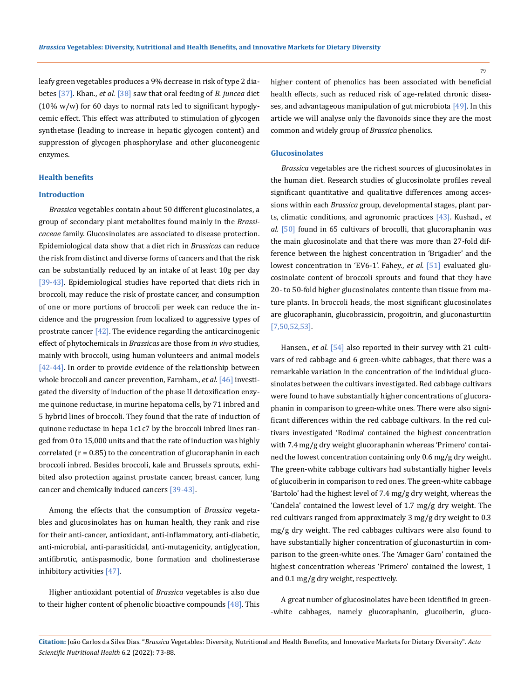leafy green vegetables produces a 9% decrease in risk of type 2 diabetes [37]. Khan., *et al.* [38] saw that oral feeding of *B. juncea* diet (10% w/w) for 60 days to normal rats led to significant hypoglycemic effect. This effect was attributed to stimulation of glycogen synthetase (leading to increase in hepatic glycogen content) and suppression of glycogen phosphorylase and other gluconeogenic enzymes.

# **Health benefits**

# **Introduction**

*Brassica* vegetables contain about 50 different glucosinolates, a group of secondary plant metabolites found mainly in the *Brassicaceae* family. Glucosinolates are associated to disease protection. Epidemiological data show that a diet rich in *Brassicas* can reduce the risk from distinct and diverse forms of cancers and that the risk can be substantially reduced by an intake of at least 10g per day [39-43]. Epidemiological studies have reported that diets rich in broccoli, may reduce the risk of prostate cancer, and consumption of one or more portions of broccoli per week can reduce the incidence and the progression from localized to aggressive types of prostrate cancer  $[42]$ . The evidence regarding the anticarcinogenic effect of phytochemicals in *Brassicas* are those from *in vivo* studies, mainly with broccoli, using human volunteers and animal models [42-44]. In order to provide evidence of the relationship between whole broccoli and cancer prevention, Farnham., *et al.* [46] investigated the diversity of induction of the phase II detoxification enzyme quinone reductase, in murine hepatoma cells, by 71 inbred and 5 hybrid lines of broccoli. They found that the rate of induction of quinone reductase in hepa 1c1c7 by the broccoli inbred lines ranged from 0 to 15,000 units and that the rate of induction was highly correlated  $(r = 0.85)$  to the concentration of glucoraphanin in each broccoli inbred. Besides broccoli, kale and Brussels sprouts, exhibited also protection against prostate cancer, breast cancer, lung cancer and chemically induced cancers [39-43].

Among the effects that the consumption of *Brassica* vegetables and glucosinolates has on human health, they rank and rise for their anti-cancer, antioxidant, anti-inflammatory, anti-diabetic, anti-microbial, anti-parasiticidal, anti-mutagenicity, antiglycation, antifibrotic, antispasmodic, bone formation and cholinesterase inhibitory activities [47].

Higher antioxidant potential of *Brassica* vegetables is also due to their higher content of phenolic bioactive compounds [48]. This 79

higher content of phenolics has been associated with beneficial health effects, such as reduced risk of age-related chronic diseases, and advantageous manipulation of gut microbiota [49]. In this article we will analyse only the flavonoids since they are the most common and widely group of *Brassica* phenolics.

#### **Glucosinolates**

*Brassica* vegetables are the richest sources of glucosinolates in the human diet. Research studies of glucosinolate profiles reveal significant quantitative and qualitative differences among accessions within each *Brassica* group, developmental stages, plant parts, climatic conditions, and agronomic practices [43]. Kushad., *et al.* [50] found in 65 cultivars of brocolli, that glucoraphanin was the main glucosinolate and that there was more than 27-fold difference between the highest concentration in 'Brigadier' and the lowest concentration in 'EV6-1'. Fahey., *et al.* [51] evaluated glucosinolate content of broccoli sprouts and found that they have 20- to 50-fold higher glucosinolates contente than tissue from mature plants. In broccoli heads, the most significant glucosinolates are glucoraphanin, glucobrassicin, progoitrin, and gluconasturtiin [7,50,52,53].

Hansen., *et al.* [54] also reported in their survey with 21 cultivars of red cabbage and 6 green-white cabbages, that there was a remarkable variation in the concentration of the individual glucosinolates between the cultivars investigated. Red cabbage cultivars were found to have substantially higher concentrations of glucoraphanin in comparison to green-white ones. There were also significant differences within the red cabbage cultivars. In the red cultivars investigated 'Rodima' contained the highest concentration with 7.4 mg/g dry weight glucoraphanin whereas 'Primero' contained the lowest concentration containing only 0.6 mg/g dry weight. The green-white cabbage cultivars had substantially higher levels of glucoiberin in comparison to red ones. The green-white cabbage 'Bartolo' had the highest level of 7.4 mg/g dry weight, whereas the 'Candela' contained the lowest level of 1.7 mg/g dry weight. The red cultivars ranged from approximately 3 mg/g dry weight to 0.3 mg/g dry weight. The red cabbages cultivars were also found to have substantially higher concentration of gluconasturtiin in comparison to the green-white ones. The 'Amager Garo' contained the highest concentration whereas 'Primero' contained the lowest, 1 and 0.1 mg/g dry weight, respectively.

A great number of glucosinolates have been identified in green- -white cabbages, namely glucoraphanin, glucoiberin, gluco-

**Citation:** João Carlos da Silva Dias*.* "*Brassica* Vegetables: Diversity, Nutritional and Health Benefits, and Innovative Markets for Dietary Diversity". *Acta Scientific Nutritional Health* 6.2 (2022): 73-88.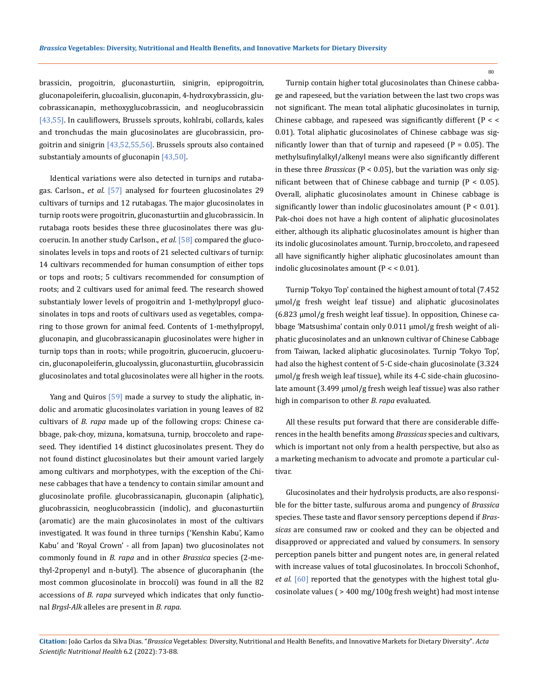brassicin, progoitrin, gluconasturtiin, sinigrin, epiprogoitrin, gluconapoleiferin, glucoalisin, gluconapin, 4-hydroxybrassicin, glucobrassicanapin, methoxyglucobrassicin, and neoglucobrassicin [43,55]. In cauliflowers, Brussels sprouts, kohlrabi, collards, kales and tronchudas the main glucosinolates are glucobrassicin, progoitrin and sinigrin  $[43,52,55,56]$ . Brussels sprouts also contained substantialy amounts of gluconapin [43,50].

Identical variations were also detected in turnips and rutabagas. Carlson., *et al.* [57] analysed for fourteen glucosinolates 29 cultivars of turnips and 12 rutabagas. The major glucosinolates in turnip roots were progoitrin, gluconasturtiin and glucobrassicin. In rutabaga roots besides these three glucosinolates there was glucoerucin. In another study Carlson., *et al.* [58] compared the glucosinolates levels in tops and roots of 21 selected cultivars of turnip: 14 cultivars recommended for human consumption of either tops or tops and roots; 5 cultivars recommended for consumption of roots; and 2 cultivars used for animal feed. The research showed substantialy lower levels of progoitrin and 1-methylpropyl glucosinolates in tops and roots of cultivars used as vegetables, comparing to those grown for animal feed. Contents of 1-methylpropyl, gluconapin, and glucobrassicanapin glucosinolates were higher in turnip tops than in roots; while progoitrin, glucoerucin, glucoerucin, gluconapoleiferin, glucoalyssin, gluconasturtiin, glucobrassicin glucosinolates and total glucosinolates were all higher in the roots.

Yang and Quiros [59] made a survey to study the aliphatic, indolic and aromatic glucosinolates variation in young leaves of 82 cultivars of *B. rapa* made up of the following crops: Chinese cabbage, pak-choy, mizuna, komatsuna, turnip, broccoleto and rapeseed. They identified 14 distinct glucosinolates present. They do not found distinct glucosinolates but their amount varied largely among cultivars and morphotypes, with the exception of the Chinese cabbages that have a tendency to contain similar amount and glucosinolate profile. glucobrassicanapin, gluconapin (aliphatic), glucobrassicin, neoglucobrassicin (indolic), and gluconasturtiin (aromatic) are the main glucosinolates in most of the cultivars investigated. It was found in three turnips ('Kenshin Kabu', Kamo Kabu' and 'Royal Crown' *-* all from Japan) two glucosinolates not commonly found in *B. rapa* and in other *Brassica* species (2-methyl-2propenyl and n-butyl). The absence of glucoraphanin (the most common glucosinolate in broccoli) was found in all the 82 accessions of *B. rapa* surveyed which indicates that only functional *Brgsl*-*Alk* alleles are present in *B. rapa*.

Turnip contain higher total glucosinolates than Chinese cabbage and rapeseed, but the variation between the last two crops was not significant. The mean total aliphatic glucosinolates in turnip, Chinese cabbage, and rapeseed was significantly different (P < < 0.01). Total aliphatic glucosinolates of Chinese cabbage was significantly lower than that of turnip and rapeseed  $(P = 0.05)$ . The methylsufinylalkyl/alkenyl means were also significantly different in these three *Brassicas* (P < 0.05), but the variation was only significant between that of Chinese cabbage and turnip ( $P < 0.05$ ). Overall, aliphatic glucosinolates amount in Chinese cabbage is significantly lower than indolic glucosinolates amount  $(P < 0.01)$ . Pak-choi does not have a high content of aliphatic glucosinolates either, although its aliphatic glucosinolates amount is higher than its indolic glucosinolates amount. Turnip, broccoleto, and rapeseed all have significantly higher aliphatic glucosinolates amount than indolic glucosinolates amount  $(P < 0.01)$ .

Turnip 'Tokyo Top' contained the highest amount of total (7.452 µmol/g fresh weight leaf tissue) and aliphatic glucosinolates (6.823 µmol/g fresh weight leaf tissue). In opposition, Chinese cabbage 'Matsushima' contain only 0.011 µmol/g fresh weight of aliphatic glucosinolates and an unknown cultivar of Chinese Cabbage from Taiwan, lacked aliphatic glucosinolates. Turnip 'Tokyo Top', had also the highest content of 5-C side-chain glucosinolate (3.324 µmol/g fresh weigh leaf tissue), while its 4-C side-chain glucosinolate amount (3.499 µmol/g fresh weigh leaf tissue) was also rather high in comparison to other *B. rapa* evaluated.

All these results put forward that there are considerable differences in the health benefits among *Brassicas* species and cultivars, which is important not only from a health perspective, but also as a marketing mechanism to advocate and promote a particular cultivar.

Glucosinolates and their hydrolysis products, are also responsible for the bitter taste, sulfurous aroma and pungency of *Brassica* species. These taste and flavor sensory perceptions depend if *Brassicas* are consumed raw or cooked and they can be objected and disapproved or appreciated and valued by consumers. In sensory perception panels bitter and pungent notes are, in general related with increase values of total glucosinolates. In broccoli Schonhof., *et al.* [60] reported that the genotypes with the highest total glucosinolate values ( > 400 mg/100g fresh weight) had most intense

**Citation:** João Carlos da Silva Dias*.* "*Brassica* Vegetables: Diversity, Nutritional and Health Benefits, and Innovative Markets for Dietary Diversity". *Acta Scientific Nutritional Health* 6.2 (2022): 73-88.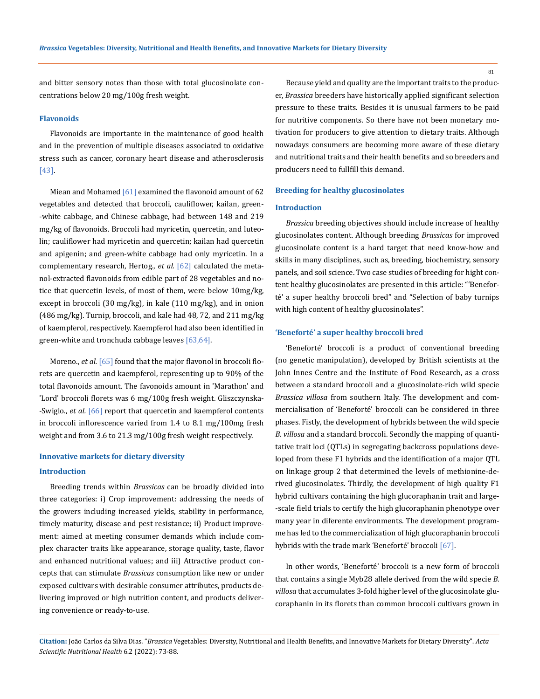and bitter sensory notes than those with total glucosinolate concentrations below 20 mg/100g fresh weight.

#### **Flavonoids**

Flavonoids are importante in the maintenance of good health and in the prevention of multiple diseases associated to oxidative stress such as cancer, coronary heart disease and atherosclerosis [43].

Miean and Mohamed  $[61]$  examined the flavonoid amount of 62 vegetables and detected that broccoli, cauliflower, kailan, green- -white cabbage, and Chinese cabbage, had between 148 and 219 mg/kg of flavonoids. Broccoli had myricetin, quercetin, and luteolin; cauliflower had myricetin and quercetin; kailan had quercetin and apigenin; and green-white cabbage had only myricetin. In a complementary research, Hertog., et al. [62] calculated the metanol-extracted flavonoids from edible part of 28 vegetables and notice that quercetin levels, of most of them, were below 10mg/kg, except in broccoli (30 mg/kg), in kale (110 mg/kg), and in onion (486 mg/kg). Turnip, broccoli, and kale had 48, 72, and 211 mg/kg of kaempferol, respectively. Kaempferol had also been identified in green-white and tronchuda cabbage leaves [63,64].

Moreno., *et al.* [65] found that the major flavonol in broccoli florets are quercetin and kaempferol, representing up to 90% of the total flavonoids amount. The favonoids amount in 'Marathon' and 'Lord' broccoli florets was 6 mg/100g fresh weight. Gliszczynska- -Swiglo., *et al.* [66] report that quercetin and kaempferol contents in broccoli inflorescence varied from 1.4 to 8.1 mg/100mg fresh weight and from 3.6 to 21.3 mg/100g fresh weight respectively.

# **Innovative markets for dietary diversity**

# **Introduction**

Breeding trends within *Brassicas* can be broadly divided into three categories: i) Crop improvement: addressing the needs of the growers including increased yields, stability in performance, timely maturity, disease and pest resistance; ii) Product improvement: aimed at meeting consumer demands which include complex character traits like appearance, storage quality, taste, flavor and enhanced nutritional values; and iii) Attractive product concepts that can stimulate *Brassicas* consumption like new or under exposed cultivars with desirable consumer attributes, products delivering improved or high nutrition content, and products delivering convenience or ready-to-use.

Because yield and quality are the important traits to the producer, *Brassica* breeders have historically applied significant selection pressure to these traits. Besides it is unusual farmers to be paid for nutritive components. So there have not been monetary motivation for producers to give attention to dietary traits. Although nowadays consumers are becoming more aware of these dietary and nutritional traits and their health benefits and so breeders and producers need to fullfill this demand.

#### **Breeding for healthy glucosinolates**

# **Introduction**

*Brassica* breeding objectives should include increase of healthy glucosinolates content. Although breeding *Brassicas* for improved glucosinolate content is a hard target that need know-how and skills in many disciplines, such as, breeding, biochemistry, sensory panels, and soil science. Two case studies of breeding for hight content healthy glucosinolates are presented in this article: "'Beneforté' a super healthy broccoli bred" and "Selection of baby turnips with high content of healthy glucosinolates".

#### **'Beneforté' a super healthy broccoli bred**

'Beneforté' broccoli is a product of conventional breeding (no [genetic manipulation\)](https://www.healthpedian.org/genetically-modified-foods-benefits-and-risks/), developed by British scientists at the John Innes Centre and the Institute of Food Research, as a cross between a standard broccoli and a glucosinolate-rich wild specie *Brassica villosa* from southern Italy. The development and commercialisation of 'Beneforté' broccoli can be considered in three phases. Fistly, the development of hybrids between the wild specie *B. villosa* and a standard broccoli. Secondly the mapping of quantitative trait loci (QTLs) in segregating backcross populations developed from these F1 hybrids and the identification of a major QTL on linkage group 2 that determined the levels of methionine-derived glucosinolates. Thirdly, the development of high quality F1 hybrid cultivars containing the high glucoraphanin trait and large- -scale field trials to certify the high glucoraphanin phenotype over many year in diferente environments. The development programme has led to the commercialization of high glucoraphanin broccoli hybrids with the trade mark 'Beneforté' broccoli [67].

In other words, 'Beneforté' broccoli is a new form of broccoli that contains a single Myb28 allele derived from the wild specie *B. villosa* that accumulates 3-fold higher level of the glucosinolate glucoraphanin in its florets than common broccoli cultivars grown in

**Citation:** João Carlos da Silva Dias*.* "*Brassica* Vegetables: Diversity, Nutritional and Health Benefits, and Innovative Markets for Dietary Diversity". *Acta Scientific Nutritional Health* 6.2 (2022): 73-88.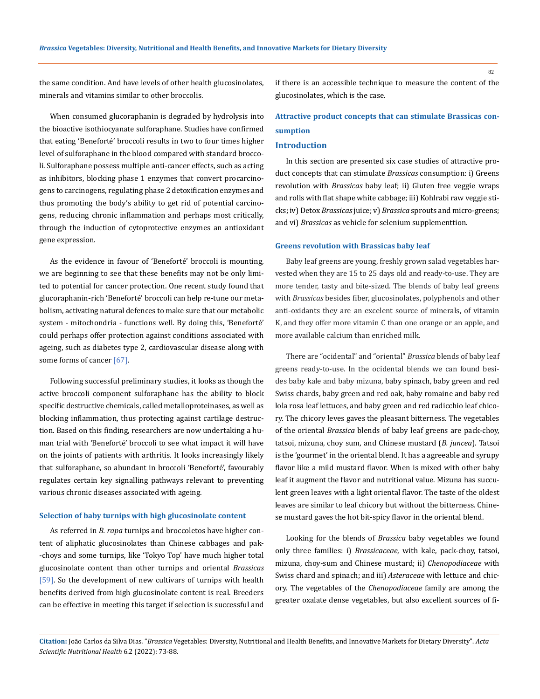the same condition. And have levels of other health glucosinolates, minerals and vitamins similar to other broccolis.

When consumed glucoraphanin is degraded by hydrolysis into the bioactive isothiocyanate sulforaphane. Studies have confirmed that eating 'Beneforté' broccoli results in two to four times higher level of sulforaphane in the blood compared with standard broccoli. Sulforaphane possess multiple anti-cancer effects, such as acting as inhibitors, blocking phase 1 enzymes that convert procarcinogens to carcinogens, regulating phase 2 detoxification enzymes and thus promoting the body's ability to get rid of potential carcinogens, reducing chronic inflammation and perhaps most critically, through the induction of cytoprotective enzymes an antioxidant gene expression.

As the evidence in favour of 'Beneforté' broccoli is mounting, we are beginning to see that these benefits may not be only limited to potential for cancer protection. One recent study found that glucoraphanin-rich 'Beneforté' broccoli can help re-tune our metabolism, activating natural defences to make sure that our metabolic system *-* mitochondria *-* functions well. By doing this, 'Beneforté' could perhaps offer protection against conditions associated with ageing, such as diabetes type 2, cardiovascular disease along with some forms of cancer [67].

Following successful preliminary studies, it looks as though the active broccoli component sulforaphane has the ability to block specific destructive chemicals, called metalloproteinases, as well as blocking inflammation, thus protecting against cartilage destruction. Based on this finding, researchers are now undertaking a human trial with 'Beneforté' broccoli to see what impact it will have on the joints of patients with arthritis. It looks increasingly likely that sulforaphane, so abundant in broccoli 'Beneforté', favourably regulates certain key signalling pathways relevant to preventing various chronic diseases associated with ageing.

# **Selection of baby turnips with high glucosinolate content**

As referred in *B. rapa* turnips and broccoletos have higher content of aliphatic glucosinolates than Chinese cabbages and pak- -choys and some turnips, like 'Tokyo Top' have much higher total glucosinolate content than other turnips and oriental *Brassicas* [59]. So the development of new cultivars of turnips with health benefits derived from high glucosinolate content is real. Breeders can be effective in meeting this target if selection is successful and if there is an accessible technique to measure the content of the glucosinolates, which is the case.

# **Attractive product concepts that can stimulate Brassicas consumption**

## **Introduction**

In this section are presented six case studies of attractive product concepts that can stimulate *Brassicas* consumption: i) Greens revolution with *Brassicas* baby leaf; ii) Gluten free veggie wraps and rolls with flat shape white cabbage; iii) Kohlrabi raw veggie sticks; iv) Detox *Brassicas* juice; v) *Brassica* sprouts and micro-greens; and vi) *Brassicas* as vehicle for selenium supplementtion.

## **Greens revolution with Brassicas baby leaf**

Baby leaf greens are young, freshly grown salad vegetables harvested when they are 15 to 25 days old and ready-to-use. They are more tender, tasty and bite-sized. The blends of baby leaf greens with *Brassicas* besides fiber, glucosinolates, polyphenols and other anti-oxidants they are an excelent source of minerals, of vitamin K, and they offer more vitamin C than one orange or an apple, and more available calcium than enriched milk.

There are "ocidental" and "oriental" *Brassica* blends of baby leaf greens ready-to-use. In the ocidental blends we can found besides baby kale and baby mizuna, baby spinach, baby green and red Swiss chards, baby green and red oak, baby romaine and baby red lola rosa leaf lettuces, and baby green and red radicchio leaf chicory. The chicory leves gaves the pleasant bitterness. The vegetables of the oriental *Brassica* blends of baby leaf greens are pack-choy, tatsoi, mizuna, choy sum, and Chinese mustard (*B. juncea*). Tatsoi is the 'gourmet' in the oriental blend. It has a agreeable and syrupy flavor like a mild mustard flavor. When is mixed with other baby leaf it augment the flavor and nutritional value. Mizuna has succulent green leaves with a light oriental flavor. The taste of the oldest leaves are similar to leaf chicory but without the bitterness. Chinese mustard gaves the hot bit-spicy flavor in the oriental blend.

Looking for the blends of *Brassica* baby vegetables we found only three families: i) *Brassicaceae*, with kale, pack-choy, tatsoi, mizuna, choy-sum and Chinese mustard; ii) *Chenopodiaceae* with Swiss chard and spinach; and iii) *Asteraceae* with lettuce and chicory. The vegetables of the *Chenopodiaceae* family are among the greater oxalate dense vegetables, but also excellent sources of fi-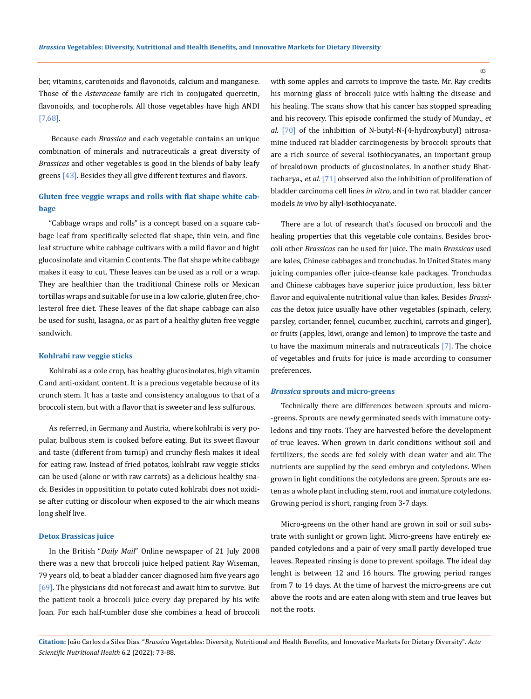ber, vitamins, carotenoids and flavonoids, calcium and manganese. Those of the *Asteraceae* family are rich in conjugated quercetin, flavonoids, and tocopherols. All those vegetables have high ANDI [7,68].

Because each *Brassica* and each vegetable contains an unique combination of minerals and nutraceuticals a great diversity of *Brassicas* and other vegetables is good in the blends of baby leafy greens [43]. Besides they all give different textures and flavors.

# **Gluten free veggie wraps and rolls with flat shape white cabbage**

"Cabbage wraps and rolls" is a concept based on a square cabbage leaf from specifically selected flat shape, thin vein, and fine leaf structure white cabbage cultivars with a mild flavor and hight glucosinolate and vitamin C contents. The flat shape white cabbage makes it easy to cut. These leaves can be used as a roll or a wrap. They are healthier than the traditional Chinese rolls or Mexican tortillas wraps and suitable for use in a low calorie, gluten free, cholesterol free diet. These leaves of the flat shape cabbage can also be used for sushi, lasagna, or as part of a healthy gluten free veggie sandwich.

#### **Kohlrabi raw veggie sticks**

Kohlrabi as a cole crop*,* has healthy glucosinolates, high vitamin C and anti-oxidant content. It is a precious vegetable because of its crunch stem. It has a taste and consistency analogous to that of a broccoli stem, but with a flavor that is sweeter and less sulfurous.

As referred, in Germany and Austria, where kohlrabi is very popular, bulbous stem is cooked before eating. But its sweet flavour and taste (different from turnip) and crunchy flesh makes it ideal for eating raw. Instead of fried potatos, kohlrabi raw veggie sticks can be used (alone or with raw carrots) as a delicious healthy snack. Besides in oppositition to potato cuted kohlrabi does not oxidise after cutting or discolour when exposed to the air which means long shelf live.

# **Detox Brassicas juice**

In the British "*Daily Mail*" Online newspaper of 21 July 2008 there was a new that broccoli juice helped patient Ray Wiseman, 79 years old, to beat a bladder cancer diagnosed him five years ago [69]. The physicians did not forecast and await him to survive. But the patient took a broccoli juice every day prepared by his wife Joan. For each half-tumbler dose she combines a head of broccoli with some apples and carrots to improve the taste. Mr. Ray credits his morning glass of broccoli juice with halting the disease and his healing. The scans show that his cancer has stopped spreading and his recovery. This episode confirmed the study of Munday., *et al.* [70] of the inhibition of N-butyl-N-(4-hydroxybutyl) nitrosamine induced rat bladder carcinogenesis by broccoli sprouts that are a rich source of several isothiocyanates, an important group of breakdown products of glucosinolates. In another study Bhattacharya., *et al.* [71] observed also the inhibition of proliferation of bladder carcinoma cell lines *in vitro*, and in two rat bladder cancer models *in vivo* by allyl-isothiocyanate.

There are a lot of research that's focused on broccoli and the healing properties that this vegetable cole contains. Besides broccoli other *Brassicas* can be used for juice. The main *Brassicas* used are kales, Chinese cabbages and tronchudas. In United States many juicing companies offer juice-cleanse kale packages. Tronchudas and Chinese cabbages have superior juice production, less bitter flavor and equivalente nutritional value than kales. Besides *Brassicas* the detox juice usually have other vegetables (spinach, celery, parsley, coriander, fennel, cucumber, zucchini, carrots and ginger), or fruits (apples, kiwi, orange and lemon) to improve the taste and to have the maximum minerals and nutraceuticals [7]. The choice of vegetables and fruits for juice is made according to consumer preferences.

# *Brassica* **sprouts and micro-greens**

Technically there are differences between sprouts and micro- -greens. Sprouts are newly germinated seeds with immature cotyledons and tiny roots. They are harvested before the development of true leaves. When grown in dark conditions without soil and fertilizers, the seeds are fed solely with clean water and air. The nutrients are supplied by the seed embryo and cotyledons. When grown in light conditions the cotyledons are green. Sprouts are eaten as a whole plant including stem, root and immature cotyledons. Growing period is short, ranging from 3-7 days.

Micro-greens on the other hand are grown in soil or soil substrate with sunlight or grown light. Micro-greens have entirely expanded cotyledons and a pair of very small partly developed true leaves. Repeated rinsing is done to prevent spoilage. The ideal day lenght is between 12 and 16 hours. The growing period ranges from 7 to 14 days. At the time of harvest the micro-greens are cut above the roots and are eaten along with stem and true leaves but not the roots.

**Citation:** João Carlos da Silva Dias*.* "*Brassica* Vegetables: Diversity, Nutritional and Health Benefits, and Innovative Markets for Dietary Diversity". *Acta Scientific Nutritional Health* 6.2 (2022): 73-88.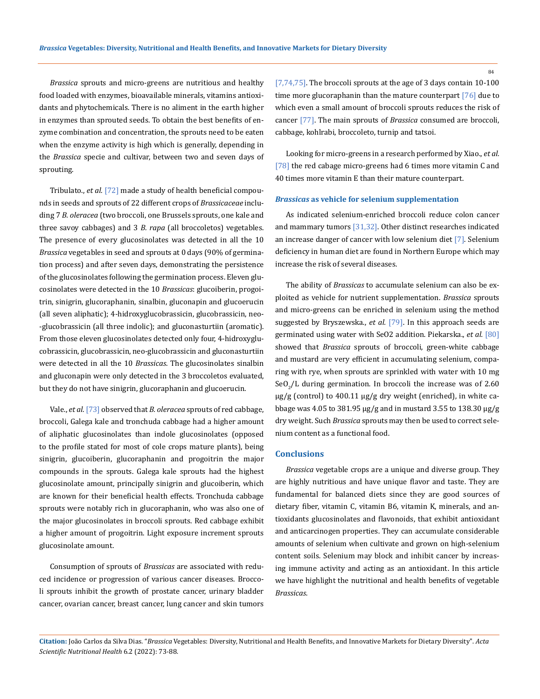*Brassica* sprouts and micro-greens are nutritious and healthy food loaded with enzymes, bioavailable minerals, vitamins antioxidants and phytochemicals. There is no aliment in the earth higher in enzymes than sprouted seeds. To obtain the best benefits of enzyme combination and concentration, the sprouts need to be eaten when the enzyme activity is high which is generally, depending in the *Brassica* specie and cultivar, between two and seven days of sprouting.

Tribulato., *et al.* [72] made a study of health beneficial compounds in seeds and sprouts of 22 different crops of *Brassicaceae* including 7 *B. oleracea* (two broccoli, one Brussels sprouts, one kale and three savoy cabbages) and 3 *B. rapa* (all broccoletos) vegetables. The presence of every glucosinolates was detected in all the 10 *Brassica* vegetables in seed and sprouts at 0 days (90% of germination process) and after seven days, demonstrating the persistence of the glucosinolates following the germination process. Eleven glucosinolates were detected in the 10 *Brassicas*: glucoiberin, progoitrin, sinigrin, glucoraphanin, sinalbin, gluconapin and glucoerucin (all seven aliphatic); 4-hidroxyglucobrassicin, glucobrassicin, neo- -glucobrassicin (all three indolic); and gluconasturtiin (aromatic). From those eleven glucosinolates detected only four, 4-hidroxyglucobrassicin, glucobrassicin, neo-glucobrassicin and gluconasturtiin were detected in all the 10 *Brassicas*. The glucosinolates sinalbin and gluconapin were only detected in the 3 broccoletos evaluated, but they do not have sinigrin, glucoraphanin and glucoerucin.

Vale., *et al.*[73] observed that *B. oleracea* sprouts of red cabbage, broccoli, Galega kale and tronchuda cabbage had a higher amount of aliphatic glucosinolates than indole glucosinolates (opposed to the profile stated for most of cole crops mature plants), being sinigrin, glucoiberin, glucoraphanin and progoitrin the major compounds in the sprouts. Galega kale sprouts had the highest glucosinolate amount, principally sinigrin and glucoiberin, which are known for their beneficial health effects. Tronchuda cabbage sprouts were notably rich in glucoraphanin, who was also one of the major glucosinolates in broccoli sprouts. Red cabbage exhibit a higher amount of progoitrin. Light exposure increment sprouts glucosinolate amount.

Consumption of sprouts of *Brassicas* are associated with reduced incidence or progression of various cancer diseases. Broccoli sprouts inhibit the growth of prostate cancer, urinary bladder cancer, ovarian cancer, breast cancer, lung cancer and skin tumors

[7,74,75]. The broccoli sprouts at the age of 3 days contain 10-100 time more glucoraphanin than the mature counterpart [76] due to which even a small amount of broccoli sprouts reduces the risk of cancer [77]. The main sprouts of *Brassica* consumed are broccoli, cabbage, kohlrabi, broccoleto, turnip and tatsoi.

Looking for micro-greens in a research performed by Xiao., *et al.* [78] the red cabage micro-greens had 6 times more vitamin C and 40 times more vitamin E than their mature counterpart.

# *Brassicas* **as vehicle for selenium supplementation**

As indicated selenium-enriched broccoli reduce colon cancer and mammary tumors [31,32]. Other distinct researches indicated an increase danger of cancer with low selenium diet [7]. Selenium deficiency in human diet are found in Northern Europe which may increase the risk of several diseases.

The ability of *Brassicas* to accumulate selenium can also be exploited as vehicle for nutrient supplementation. *Brassica* sprouts and micro-greens can be enriched in selenium using the method suggested by Bryszewska., *et al.* [79]. In this approach seeds are germinated using water with SeO2 addition. Piekarska., *et al.* [80] showed that *Brassica* sprouts of broccoli, green-white cabbage and mustard are very efficient in accumulating selenium, comparing with rye, when sprouts are sprinkled with water with 10 mg SeO<sub>2</sub>/L during germination. In broccoli the increase was of 2.60 µg/g (control) to 400.11 µg/g dry weight (enriched), in white cabbage was 4.05 to 381.95 µg/g and in mustard 3.55 to 138.30 µg/g dry weight. Such *Brassica* sprouts may then be used to correct selenium content as a functional food.

# **Conclusions**

*Brassica* vegetable crops are a unique and diverse group. They are highly nutritious and have unique flavor and taste. They are fundamental for balanced diets since they are good sources of dietary fiber, vitamin C, vitamin B6, vitamin K, minerals, and antioxidants glucosinolates and flavonoids, that exhibit antioxidant and anticarcinogen properties. They can accumulate considerable amounts of selenium when cultivate and grown on high-selenium content soils. Selenium may block and inhibit cancer by increasing immune activity and acting as an antioxidant. In this article we have highlight the nutritional and health benefits of vegetable *Brassicas*.

**Citation:** João Carlos da Silva Dias*.* "*Brassica* Vegetables: Diversity, Nutritional and Health Benefits, and Innovative Markets for Dietary Diversity". *Acta Scientific Nutritional Health* 6.2 (2022): 73-88.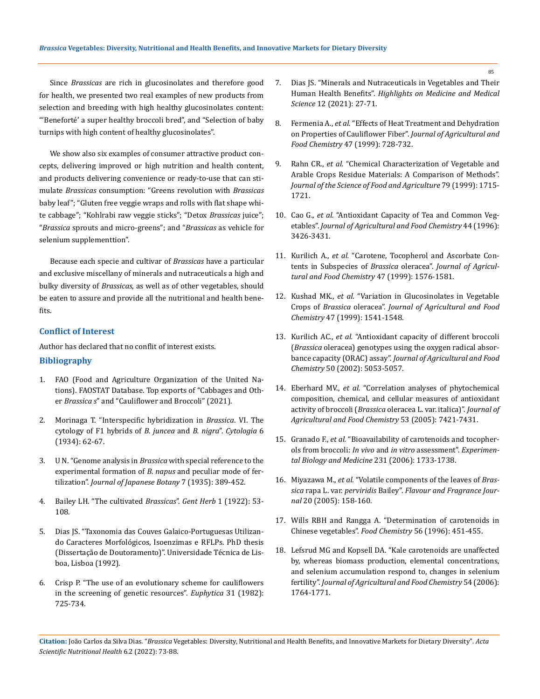Since *Brassicas* are rich in glucosinolates and therefore good for health, we presented two real examples of new products from selection and breeding with high healthy glucosinolates content: "'Beneforté' a super healthy broccoli bred", and "Selection of baby turnips with high content of healthy glucosinolates".

We show also six examples of consumer attractive product concepts, delivering improved or high nutrition and health content, and products delivering convenience or ready-to-use that can stimulate *Brassicas* consumption: "Greens revolution with *Brassicas* baby leaf"; "Gluten free veggie wraps and rolls with flat shape white cabbage"; "Kohlrabi raw veggie sticks"; "Detox *Brassicas* juice"; "*Brassica* sprouts and micro-greens"; and "*Brassicas* as vehicle for selenium supplementtion".

Because each specie and cultivar of *Brassicas* have a particular and exclusive miscellany of minerals and nutraceuticals a high and bulky diversity of *Brassicas*, as well as of other vegetables, should be eaten to assure and provide all the nutritional and health benefits.

# **Conflict of Interest**

Author has declared that no conflit of interest exists. **Bibliography**

- 1. [FAO \(Food and Agriculture Organization of the United Na](https://www.fao.org/faostat/en/)[tions\). FAOSTAT Database. Top exports of "Cabbages and Oth](https://www.fao.org/faostat/en/)er *Brassica s*[" and "Cauliflower and Broccoli" \(2021\).](https://www.fao.org/faostat/en/)
- 2. Morinaga T. "Interspecific hybridization in *Brassica*. VI. The cytology of F1 hybrids of *B. juncea* and *B. nigra*". *Cytologia* 6 (1934): 62-67.
- 3. U N. "Genome analysis in *Brassica* [with special reference to the](https://www.cabi.org/ISC/abstract/20057004479)  [experimental formation of](https://www.cabi.org/ISC/abstract/20057004479) *B. napus* and peculiar mode of fertilization". *[Journal of Japanese Botany](https://www.cabi.org/ISC/abstract/20057004479)* 7 (1935): 389-452.
- 4. Bailey LH. "The cultivated *Brassicas*". *Gent Herb* 1 (1922): 53- 108.
- 5. Dias JS. "Taxonomia das Couves Galaico-Portuguesas Utilizando Caracteres Morfológicos, Isoenzimas e RFLPs. PhD thesis (Dissertação de Doutoramento)". Universidade Técnica de Lisboa, Lisboa (1992).
- 6. [Crisp P. "The use of an evolutionary scheme for cauliflowers](https://ur.booksc.me/book/5775656/4066d6)  [in the screening of genetic resources".](https://ur.booksc.me/book/5775656/4066d6) *Euphytica* 31 (1982): [725-734.](https://ur.booksc.me/book/5775656/4066d6)
- 7. [Dias JS. "Minerals and Nutraceuticals in Vegetables and Their](https://www.2pressrelease.net/minerals-and-nutraceuticals-in-vegetables-and-their-human-health-benefits/)  Human Health Benefits". *Highlights [on Medicine and Medical](https://www.2pressrelease.net/minerals-and-nutraceuticals-in-vegetables-and-their-human-health-benefits/)  Science* [12 \(2021\): 27-71.](https://www.2pressrelease.net/minerals-and-nutraceuticals-in-vegetables-and-their-human-health-benefits/)
- 8. Fermenia A., *et al.* ["Effects of Heat Treatment and Dehydration](https://pubmed.ncbi.nlm.nih.gov/10563960/)  [on Properties of Cauliflower Fiber".](https://pubmed.ncbi.nlm.nih.gov/10563960/) *Journal of Agricultural and Food Chemistry* [47 \(1999\): 728-732.](https://pubmed.ncbi.nlm.nih.gov/10563960/)
- 9. Rahn CR., *et al.* "Chemical Characterization of Vegetable and Arable Crops Residue Materials: A Comparison of Methods". *Journal of the Science of Food and Agriculture* 79 (1999): 1715- 1721.
- 10. Cao G., *et al.* ["Antioxidant Capacity of Tea and Common Veg](https://pubs.acs.org/doi/10.1021/jf9602535)etables". *[Journal of Agricultural and Food Chemistry](https://pubs.acs.org/doi/10.1021/jf9602535)* 44 (1996): [3426-3431.](https://pubs.acs.org/doi/10.1021/jf9602535)
- 11. Kurilich A., *et al.* ["Carotene, Tocopherol and Ascorbate Con](https://pubmed.ncbi.nlm.nih.gov/10564019/)tents in Subspecies of *Brassica* oleracea". *[Journal of Agricul](https://pubmed.ncbi.nlm.nih.gov/10564019/)[tural and Food Chemistry](https://pubmed.ncbi.nlm.nih.gov/10564019/)* 47 (1999): 1576-1581.
- 12. Kushad MK., *et al.* ["Variation in Glucosinolates in Vegetable](https://pubmed.ncbi.nlm.nih.gov/10564014/)  Crops of *Brassica* oleracea". *[Journal of Agricultural and Food](https://pubmed.ncbi.nlm.nih.gov/10564014/)  Chemistry* [47 \(1999\): 1541-1548.](https://pubmed.ncbi.nlm.nih.gov/10564014/)
- 13. Kurilich AC., *et al.* ["Antioxidant capacity of different broccoli](https://pubmed.ncbi.nlm.nih.gov/12188607/)  (*Brassica* [oleracea\) genotypes using the oxygen radical absor](https://pubmed.ncbi.nlm.nih.gov/12188607/)bance capacity (ORAC) assay". *[Journal of Agricultural and Food](https://pubmed.ncbi.nlm.nih.gov/12188607/)  Chemistry* [50 \(2002\): 5053-5057.](https://pubmed.ncbi.nlm.nih.gov/12188607/)
- 14. Eberhard MV., *et al.* ["Correlation analyses of phytochemical](https://pubmed.ncbi.nlm.nih.gov/16159168/)  [composition, chemical, and cellular measures of antioxidant](https://pubmed.ncbi.nlm.nih.gov/16159168/)  activity of broccoli (*Brassica* [oleracea L. var. italica\)".](https://pubmed.ncbi.nlm.nih.gov/16159168/) *Journal of [Agricultural and Food Chemistry](https://pubmed.ncbi.nlm.nih.gov/16159168/)* 53 (2005): 7421-7431.
- 15. Granado F., *et al.* ["Bioavailability of carotenoids and tocopher](https://pubmed.ncbi.nlm.nih.gov/17138760/)[ols from broccoli:](https://pubmed.ncbi.nlm.nih.gov/17138760/) *In vivo* and *in vitro* assessment". *Experimen[tal Biology and Medicine](https://pubmed.ncbi.nlm.nih.gov/17138760/)* 231 (2006): 1733-1738.
- 16. Miyazawa M., *et al.* ["Volatile components of the leaves of](https://www.cabi.org/ISC/abstract/20053041335) *Brassica* rapa L. var. *perviridis* Bailey". *[Flavour and Fragrance Jour](https://www.cabi.org/ISC/abstract/20053041335)nal* [20 \(2005\): 158-160.](https://www.cabi.org/ISC/abstract/20053041335)
- 17. [Wills RBH and Rangga A. "Determination of carotenoids in](https://www.sciencedirect.com/science/article/abs/pii/030881469500226X)  Chinese vegetables". *Food Chemistry* [56 \(1996\): 451-455.](https://www.sciencedirect.com/science/article/abs/pii/030881469500226X)
- 18. [Lefsrud MG and Kopsell DA. "Kale carotenoids are unaffected](https://pubmed.ncbi.nlm.nih.gov/16506831/)  [by, whereas biomass production, elemental concentrations,](https://pubmed.ncbi.nlm.nih.gov/16506831/)  [and selenium accumulation respond to, changes in selenium](https://pubmed.ncbi.nlm.nih.gov/16506831/)  fertility". *[Journal of Agricultural and Food Chemistry](https://pubmed.ncbi.nlm.nih.gov/16506831/)* 54 (2006): [1764-1771.](https://pubmed.ncbi.nlm.nih.gov/16506831/)

**Citation:** João Carlos da Silva Dias*.* "*Brassica* Vegetables: Diversity, Nutritional and Health Benefits, and Innovative Markets for Dietary Diversity". *Acta Scientific Nutritional Health* 6.2 (2022): 73-88.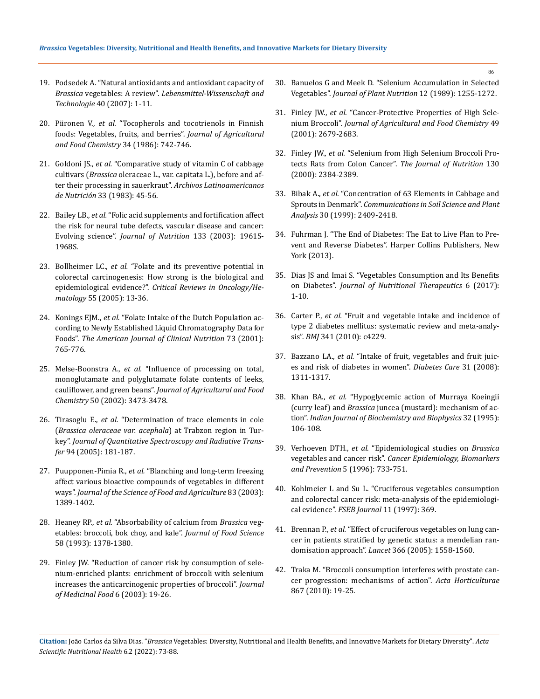- 19. [Podsedek A. "Natural antioxidants and antioxidant capacity of](https://www.sciencedirect.com/science/article/abs/pii/S002364380500188X)  *Brassica* vegetables: A review". *[Lebensmittel-Wissenschaft and](https://www.sciencedirect.com/science/article/abs/pii/S002364380500188X)  Technologie* [40 \(2007\): 1-11.](https://www.sciencedirect.com/science/article/abs/pii/S002364380500188X)
- 20. Piironen V., *et al.* ["Tocopherols and tocotrienols in Finnish](https://pubs.acs.org/doi/10.1021/jf00070a038)  [foods: Vegetables, fruits, and berries".](https://pubs.acs.org/doi/10.1021/jf00070a038) *Journal of Agricultural [and Food Chemistry](https://pubs.acs.org/doi/10.1021/jf00070a038)* 34 (1986): 742-746.
- 21. Goldoni JS., *et al.* ["Comparative study of vitamin C of cabbage](https://pubmed.ncbi.nlm.nih.gov/6625831/)  cultivars (*Brassica* [oleraceae L., var. capitata L.\), before and af](https://pubmed.ncbi.nlm.nih.gov/6625831/)[ter their processing in sauerkraut".](https://pubmed.ncbi.nlm.nih.gov/6625831/) *Archivos Latinoamericanos de Nutrición* [33 \(1983\): 45-56.](https://pubmed.ncbi.nlm.nih.gov/6625831/)
- 22. Bailey LB., *et al.* ["Folic acid supplements and fortification affect](https://pubmed.ncbi.nlm.nih.gov/12771346/)  [the risk for neural tube defects, vascular disease and cancer:](https://pubmed.ncbi.nlm.nih.gov/12771346/)  Evolving science". *[Journal of Nutrition](https://pubmed.ncbi.nlm.nih.gov/12771346/)* 133 (2003): 1961S-[1968S.](https://pubmed.ncbi.nlm.nih.gov/12771346/)
- 23. Bollheimer LC., *et al.* ["Folate and its preventive potential in](https://pubmed.ncbi.nlm.nih.gov/15927841/)  [colorectal carcinogenesis: How strong is the biological and](https://pubmed.ncbi.nlm.nih.gov/15927841/)  epidemiological evidence?". *[Critical Reviews in Oncology/He](https://pubmed.ncbi.nlm.nih.gov/15927841/)matology* [55 \(2005\): 13-36.](https://pubmed.ncbi.nlm.nih.gov/15927841/)
- 24. Konings EJM., *et al.* ["Folate Intake of the Dutch Population ac](https://pubmed.ncbi.nlm.nih.gov/11273852/)[cording to Newly Established Liquid Chromatography Data for](https://pubmed.ncbi.nlm.nih.gov/11273852/)  Foods". *[The American Journal of Clinical Nutrition](https://pubmed.ncbi.nlm.nih.gov/11273852/)* 73 (2001): [765-776.](https://pubmed.ncbi.nlm.nih.gov/11273852/)
- 25. Melse-Boonstra A., *et al.* ["Influence of processing on total,](https://pubmed.ncbi.nlm.nih.gov/12033813/)  [monoglutamate and polyglutamate folate contents of leeks,](https://pubmed.ncbi.nlm.nih.gov/12033813/)  cauliflower, and green beans". *[Journal of Agricultural and Food](https://pubmed.ncbi.nlm.nih.gov/12033813/)  Chemistry* [50 \(2002\): 3473-3478.](https://pubmed.ncbi.nlm.nih.gov/12033813/)
- 26. Tirasoglu E., *et al.* ["Determination of trace elements in cole](https://www.sciencedirect.com/science/article/abs/pii/S0022407304004042)  (*[Brassica oleraceae var. acephala](https://www.sciencedirect.com/science/article/abs/pii/S0022407304004042)*) at Trabzon region in Turkey". *[Journal of Quantitative Spectroscopy and Radiative Trans](https://www.sciencedirect.com/science/article/abs/pii/S0022407304004042)fer* [94 \(2005\): 181-187.](https://www.sciencedirect.com/science/article/abs/pii/S0022407304004042)
- 27. Puupponen-Pimia R., *et al.* ["Blanching and long-term freezing](https://onlinelibrary.wiley.com/doi/10.1002/jsfa.1589)  [affect various bioactive compounds of vegetables in different](https://onlinelibrary.wiley.com/doi/10.1002/jsfa.1589)  ways". *[Journal of the Science of Food and Agriculture](https://onlinelibrary.wiley.com/doi/10.1002/jsfa.1589)* 83 (2003): [1389-1402.](https://onlinelibrary.wiley.com/doi/10.1002/jsfa.1589)
- 28. Heaney RP., *et al.* ["Absorbability of calcium from](https://ift.onlinelibrary.wiley.com/doi/abs/10.1111/j.1365-2621.1993.tb06187.x) *Brassica* veg[etables: broccoli, bok choy, and kale".](https://ift.onlinelibrary.wiley.com/doi/abs/10.1111/j.1365-2621.1993.tb06187.x) *Journal of Food Science* [58 \(1993\): 1378-1380.](https://ift.onlinelibrary.wiley.com/doi/abs/10.1111/j.1365-2621.1993.tb06187.x)
- 29. [Finley JW. "Reduction of cancer risk by consumption of sele](https://pubmed.ncbi.nlm.nih.gov/12804017/)[nium-enriched plants: enrichment of broccoli with selenium](https://pubmed.ncbi.nlm.nih.gov/12804017/)  [increases the anticarcinogenic properties of broccoli".](https://pubmed.ncbi.nlm.nih.gov/12804017/) *Journal [of Medicinal Food](https://pubmed.ncbi.nlm.nih.gov/12804017/)* 6 (2003): 19-26.
- 30. [Banuelos G and Meek D. "Selenium Accumulation in Selected](https://pubs.acs.org/doi/abs/10.1021/jf60134a018)  Vegetables". *[Journal of Plant Nutrition](https://pubs.acs.org/doi/abs/10.1021/jf60134a018)* 12 (1989): 1255-1272.
- 31. Finley JW., *et al.* ["Cancer-Protective Properties of High Sele](https://pubmed.ncbi.nlm.nih.gov/11368655/)nium Broccoli". *[Journal of Agricultural and Food Chemistry](https://pubmed.ncbi.nlm.nih.gov/11368655/)* 49 [\(2001\): 2679-2683.](https://pubmed.ncbi.nlm.nih.gov/11368655/)
- 32. Finley JW., *et al.* ["Selenium from High Selenium Broccoli Pro](https://academic.oup.com/jn/article/130/9/2384/4686439)[tects Rats from Colon Cancer".](https://academic.oup.com/jn/article/130/9/2384/4686439) *The Journal of Nutrition* 130 [\(2000\): 2384-2389.](https://academic.oup.com/jn/article/130/9/2384/4686439)
- 33. Bibak A., *et al.* ["Concentration of 63 Elements in Cabbage and](https://www.tandfonline.com/doi/abs/10.1080/00103629909370382)  Sprouts in Denmark". *[Communications in Soil Science and Plant](https://www.tandfonline.com/doi/abs/10.1080/00103629909370382)  Analysis* [30 \(1999\): 2409-2418.](https://www.tandfonline.com/doi/abs/10.1080/00103629909370382)
- 34. [Fuhrman J. "The End of Diabetes: The Eat to Live Plan to Pre](https://www.goodreads.com/book/show/15820014-the-end-of-diabetes)[vent and Reverse Diabetes". Harper Collins Publishers, New](https://www.goodreads.com/book/show/15820014-the-end-of-diabetes)  [York \(2013\).](https://www.goodreads.com/book/show/15820014-the-end-of-diabetes)
- 35. [Dias JS and Imai S. "Vegetables Consumption and Its Benefits](https://www.researchgate.net/publication/316631106_Vegetables_Consumption_and_its_Benefits_on_Diabetes)  on Diabetes". *[Journal of Nutritional Therapeutics](https://www.researchgate.net/publication/316631106_Vegetables_Consumption_and_its_Benefits_on_Diabetes)* 6 (2017): [1-10.](https://www.researchgate.net/publication/316631106_Vegetables_Consumption_and_its_Benefits_on_Diabetes)
- 36. Carter P., *et al.* ["Fruit and vegetable intake and incidence of](https://pubmed.ncbi.nlm.nih.gov/20724400/)  [type 2 diabetes mellitus: systematic review and meta-analy](https://pubmed.ncbi.nlm.nih.gov/20724400/)sis". *BMJ* [341 \(2010\): c4229.](https://pubmed.ncbi.nlm.nih.gov/20724400/)
- 37. Bazzano LA., *et al.* ["Intake of fruit, vegetables and fruit juic](https://pubmed.ncbi.nlm.nih.gov/18390796/)[es and risk of diabetes in women".](https://pubmed.ncbi.nlm.nih.gov/18390796/) *Diabetes Care* 31 (2008): [1311-1317.](https://pubmed.ncbi.nlm.nih.gov/18390796/)
- 38. Khan BA., *et al.* ["Hypoglycemic action of Murraya Koeingii](https://pubmed.ncbi.nlm.nih.gov/7642200/)  (curry leaf) and *Brassica* [juncea \(mustard\): mechanism of ac](https://pubmed.ncbi.nlm.nih.gov/7642200/)tion". *[Indian Journal of Biochemistry and Biophysics](https://pubmed.ncbi.nlm.nih.gov/7642200/)* 32 (1995): [106-108.](https://pubmed.ncbi.nlm.nih.gov/7642200/)
- 39. Verhoeven DTH., *et al.* ["Epidemiological studies on](https://pubmed.ncbi.nlm.nih.gov/8877066/) *Brassica*  vegetables and cancer risk". *[Cancer Epidemiology, Biomarkers](https://pubmed.ncbi.nlm.nih.gov/8877066/)  and Prevention* [5 \(1996\): 733-751.](https://pubmed.ncbi.nlm.nih.gov/8877066/)
- 40. [Kohlmeier L and Su L. "Cruciferous vegetables consumption](https://pubmed.ncbi.nlm.nih.gov/23211939/)  [and colorectal cancer risk: meta-analysis of the epidemiologi](https://pubmed.ncbi.nlm.nih.gov/23211939/)cal evidence". *[FSEB Journal](https://pubmed.ncbi.nlm.nih.gov/23211939/)* 11 (1997): 369.
- 41. Brennan P., *et al.* ["Effect of cruciferous vegetables on lung can](https://pubmed.ncbi.nlm.nih.gov/16257343/)[cer in patients stratified by genetic status: a mendelian ran](https://pubmed.ncbi.nlm.nih.gov/16257343/)domisation approach". *Lancet* [366 \(2005\): 1558-1560.](https://pubmed.ncbi.nlm.nih.gov/16257343/)
- 42. [Traka M. "Broccoli consumption interferes with prostate can](https://www.researchgate.net/publication/282579578_Broccoli_consumption_interferes_with_prostate_cancer_progression_Mechanisms_of_action)[cer progression: mechanisms of action".](https://www.researchgate.net/publication/282579578_Broccoli_consumption_interferes_with_prostate_cancer_progression_Mechanisms_of_action) *Acta Horticulturae*  [867 \(2010\): 19-25.](https://www.researchgate.net/publication/282579578_Broccoli_consumption_interferes_with_prostate_cancer_progression_Mechanisms_of_action)

**Citation:** João Carlos da Silva Dias*.* "*Brassica* Vegetables: Diversity, Nutritional and Health Benefits, and Innovative Markets for Dietary Diversity". *Acta Scientific Nutritional Health* 6.2 (2022): 73-88.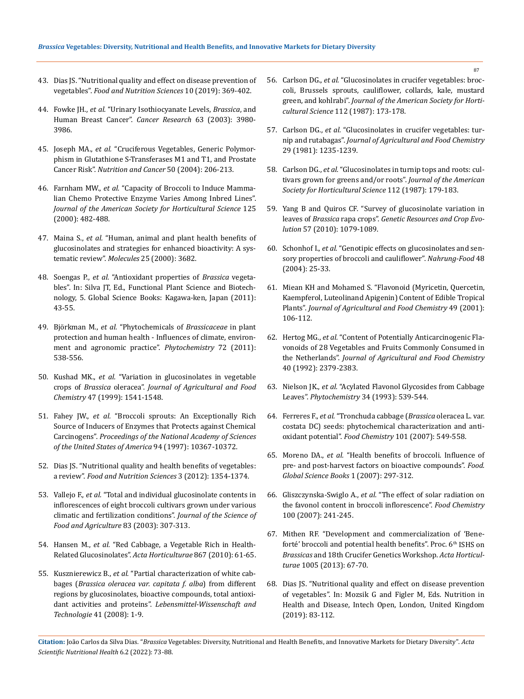- 43. [Dias JS. "Nutritional quality and effect on disease prevention of](https://www.scirp.org/journal/paperinformation.aspx?paperid=91875)  vegetables". *[Food and Nutrition Sciences](https://www.scirp.org/journal/paperinformation.aspx?paperid=91875)* 10 (2019): 369-402.
- 44. Fowke JH., *et al.* ["Urinary Isothiocyanate Levels,](https://pubmed.ncbi.nlm.nih.gov/12873994/) *Brassica*, and [Human Breast Cancer".](https://pubmed.ncbi.nlm.nih.gov/12873994/) *Cancer Research* 63 (2003): 3980- [3986.](https://pubmed.ncbi.nlm.nih.gov/12873994/)
- 45. Joseph MA., *et al.* ["Cruciferous Vegetables, Generic Polymor](https://pubmed.ncbi.nlm.nih.gov/15623468/)[phism in Glutathione S-Transferases M1 and T1, and Prostate](https://pubmed.ncbi.nlm.nih.gov/15623468/)  Cancer Risk". *[Nutrition and Cancer](https://pubmed.ncbi.nlm.nih.gov/15623468/)* 50 (2004): 206-213.
- 46. Farnham MW., *et al.* ["Capacity of Broccoli to Induce Mamma](https://www.researchgate.net/publication/279475493_Capacity_of_Broccoli_to_Induce_a_Mammalian_Chemoprotective_Enzyme_Varies_among_Inbred_Lines)[lian Chemo Protective Enzyme Varies Among Inbred Lines".](https://www.researchgate.net/publication/279475493_Capacity_of_Broccoli_to_Induce_a_Mammalian_Chemoprotective_Enzyme_Varies_among_Inbred_Lines)  *[Journal of the American Society for Horticultural Science](https://www.researchgate.net/publication/279475493_Capacity_of_Broccoli_to_Induce_a_Mammalian_Chemoprotective_Enzyme_Varies_among_Inbred_Lines)* 125 [\(2000\): 482-488.](https://www.researchgate.net/publication/279475493_Capacity_of_Broccoli_to_Induce_a_Mammalian_Chemoprotective_Enzyme_Varies_among_Inbred_Lines)
- 47. Maina S., *et al.* ["Human, animal and plant health benefits of](https://www.ncbi.nlm.nih.gov/pmc/articles/PMC7464879/)  [glucosinolates and strategies for enhanced bioactivity: A sys](https://www.ncbi.nlm.nih.gov/pmc/articles/PMC7464879/)tematic review". *Molecules* [25 \(2000\): 3682.](https://www.ncbi.nlm.nih.gov/pmc/articles/PMC7464879/)
- 48. Soengas P., *et al.* ["Antioxidant properties of](http://www.globalsciencebooks.info/Online/GSBOnline/images/2011/FPSB_5(SI2)/FPSB_5(SI2)43-55o.pdf) *Brassica* vegeta[bles". In: Silva JT, Ed., Functional Plant Science and Biotech](http://www.globalsciencebooks.info/Online/GSBOnline/images/2011/FPSB_5(SI2)/FPSB_5(SI2)43-55o.pdf)[nology, 5. Global Science Books: Kagawa-ken, Japan \(2011\):](http://www.globalsciencebooks.info/Online/GSBOnline/images/2011/FPSB_5(SI2)/FPSB_5(SI2)43-55o.pdf)  [43-55.](http://www.globalsciencebooks.info/Online/GSBOnline/images/2011/FPSB_5(SI2)/FPSB_5(SI2)43-55o.pdf)
- 49. Björkman M., *et al.* ["Phytochemicals of](https://pubmed.ncbi.nlm.nih.gov/21315385/) *Brassicaceae* in plant [protection and human health - Influences of climate, environ](https://pubmed.ncbi.nlm.nih.gov/21315385/)[ment and agronomic practice".](https://pubmed.ncbi.nlm.nih.gov/21315385/) *Phytochemistry* 72 (2011): [538-556.](https://pubmed.ncbi.nlm.nih.gov/21315385/)
- 50. Kushad MK., *et al.* ["Variation in glucosinolates in vegetable](https://pubmed.ncbi.nlm.nih.gov/10564014/)  crops of *Brassica* oleracea". *[Journal of Agricultural and Food](https://pubmed.ncbi.nlm.nih.gov/10564014/)  Chemistry* [47 \(1999\): 1541-1548.](https://pubmed.ncbi.nlm.nih.gov/10564014/)
- 51. Fahey JW., *et al.* ["Broccoli sprouts: An Exceptionally Rich](https://www.ncbi.nlm.nih.gov/pmc/articles/PMC23369/)  [Source of Inducers of Enzymes that Protects against Chemical](https://www.ncbi.nlm.nih.gov/pmc/articles/PMC23369/)  Carcinogens". *[Proceedings of the National Academy of Sciences](https://www.ncbi.nlm.nih.gov/pmc/articles/PMC23369/)  [of the United States of America](https://www.ncbi.nlm.nih.gov/pmc/articles/PMC23369/)* 94 (1997): 10367-10372.
- 52. [Dias JS. "Nutritional quality and health benefits of vegetables:](https://www.scirp.org/journal/paperinformation.aspx?paperid=23384)  a review". *[Food and Nutrition Sciences](https://www.scirp.org/journal/paperinformation.aspx?paperid=23384)* 3 (2012): 1354-1374.
- 53. Vallejo F., *et al.* ["Total and individual glucosinolate contents in](https://onlinelibrary.wiley.com/doi/abs/10.1002/jsfa.1320)  [inflorescences of eight broccoli cultivars grown under various](https://onlinelibrary.wiley.com/doi/abs/10.1002/jsfa.1320)  [climatic and fertilization conditions".](https://onlinelibrary.wiley.com/doi/abs/10.1002/jsfa.1320) *Journal of the Science of [Food and Agriculture](https://onlinelibrary.wiley.com/doi/abs/10.1002/jsfa.1320)* 83 (2003): 307-313.
- 54. Hansen M., *et al.* ["Red Cabbage, a Vegetable Rich in Health-](https://www.researchgate.net/publication/283377773_RED_CABBAGE_A_VEGETABLE_RICH_IN_HEALTH-RELATED_GLUCOSINOLATES)[Related Glucosinolates".](https://www.researchgate.net/publication/283377773_RED_CABBAGE_A_VEGETABLE_RICH_IN_HEALTH-RELATED_GLUCOSINOLATES) *Acta Horticulturae* 867 (2010): 61-65.
- 55. Kusznierewicz B., *et al.* ["Partial characterization of white cab](https://www.sciencedirect.com/science/article/abs/pii/S0023643807000874)bages (*[Brassica oleracea var. capitata f. alba](https://www.sciencedirect.com/science/article/abs/pii/S0023643807000874)*) from different [regions by glucosinolates, bioactive compounds, total antioxi](https://www.sciencedirect.com/science/article/abs/pii/S0023643807000874)dant activities and proteins". *[Lebensmittel-Wissenschaft and](https://www.sciencedirect.com/science/article/abs/pii/S0023643807000874)  [Technologie](https://www.sciencedirect.com/science/article/abs/pii/S0023643807000874)* 41 (2008): 1-9.
- 56. Carlson DG., *et al.* ["Glucosinolates in crucifer vegetables: broc](https://pubag.nal.usda.gov/catalog/23901)[coli, Brussels sprouts, cauliflower, collards, kale, mustard](https://pubag.nal.usda.gov/catalog/23901)  green, and kohlrabi". *[Journal of the American Society for Horti](https://pubag.nal.usda.gov/catalog/23901)cultural Science* [112 \(1987\): 173-178.](https://pubag.nal.usda.gov/catalog/23901)
- 57. Carlson DG., *et al.* ["Glucosinolates in crucifer vegetables: tur](https://pubmed.ncbi.nlm.nih.gov/7320339/)nip and rutabagas". *[Journal of Agricultural and Food Chemistry](https://pubmed.ncbi.nlm.nih.gov/7320339/)*  [29 \(1981\): 1235-1239.](https://pubmed.ncbi.nlm.nih.gov/7320339/)
- 58. Carlson DG., *et al.* ["Glucosinolates in turnip tops and roots: cul](https://pubag.nal.usda.gov/download/23902/pdf)[tivars grown for greens and/or roots".](https://pubag.nal.usda.gov/download/23902/pdf) *Journal of the American [Society for Horticultural Science](https://pubag.nal.usda.gov/download/23902/pdf)* 112 (1987): 179-183.
- 59. [Yang B and Quiros CF. "Survey of glucosinolate variation in](https://link.springer.com/article/10.1007/s10722-010-9549-5)  leaves of *Brassica* rapa crops". *[Genetic Resources and Crop Evo](https://link.springer.com/article/10.1007/s10722-010-9549-5)lution* [57 \(2010\): 1079-1089.](https://link.springer.com/article/10.1007/s10722-010-9549-5)
- 60. Schonhof I., *et al.* ["Genotipic effects on glucosinolates and sen](https://pubmed.ncbi.nlm.nih.gov/15053347/)[sory properties of broccoli and cauliflower".](https://pubmed.ncbi.nlm.nih.gov/15053347/) *Nahrung-Food* 48 [\(2004\): 25-33.](https://pubmed.ncbi.nlm.nih.gov/15053347/)
- 61. [Miean KH and Mohamed S. "Flavonoid \(Myricetin, Quercetin,](https://pubmed.ncbi.nlm.nih.gov/11410016/)  [Kaempferol, Luteolinand Apigenin\) Content of Edible Tropical](https://pubmed.ncbi.nlm.nih.gov/11410016/)  Plants". *[Journal of Agricultural and Food Chemistry](https://pubmed.ncbi.nlm.nih.gov/11410016/)* 49 (2001): [106-112.](https://pubmed.ncbi.nlm.nih.gov/11410016/)
- 62. Hertog MG., *et al.* ["Content of Potentially Anticarcinogenic Fla](https://pubs.acs.org/doi/10.1021/jf00024a011)[vonoids of 28 Vegetables and Fruits Commonly Consumed in](https://pubs.acs.org/doi/10.1021/jf00024a011)  the Netherlands". *[Journal of Agricultural and Food Chemistry](https://pubs.acs.org/doi/10.1021/jf00024a011)*  [40 \(1992\): 2379-2383.](https://pubs.acs.org/doi/10.1021/jf00024a011)
- 63. Nielson JK., *et al.* ["Acylated Flavonol Glycosides from Cabbage](https://www.semanticscholar.org/paper/Acylated-flavonol-glycosides-from-cabbage-leaves.-Nielsen-Olsen/fb1c0877146258ac08df22957fee547d319b5dd8)  Leaves". *Phytochemistry* [34 \(1993\): 539-544.](https://www.semanticscholar.org/paper/Acylated-flavonol-glycosides-from-cabbage-leaves.-Nielsen-Olsen/fb1c0877146258ac08df22957fee547d319b5dd8)
- 64. Ferreres F., *et al.* ["Tronchuda cabbage \(](https://www.researchgate.net/publication/222397081_Tronchuda_cabbage_Brassica_oleracea_L_var_costata_DC_seeds_Phytochemical_characterization_and_antioxidant_potential)*Brassica* oleracea L. var. [costata DC\) seeds: phytochemical characterization and anti](https://www.researchgate.net/publication/222397081_Tronchuda_cabbage_Brassica_oleracea_L_var_costata_DC_seeds_Phytochemical_characterization_and_antioxidant_potential)oxidant potential". *Food Chemistry* [101 \(2007\): 549-558.](https://www.researchgate.net/publication/222397081_Tronchuda_cabbage_Brassica_oleracea_L_var_costata_DC_seeds_Phytochemical_characterization_and_antioxidant_potential)
- 65. Moreno DA., *et al.* ["Health benefits of broccoli. Influence of](https://www.semanticscholar.org/paper/Health-Benefits-of-Broccoli.-Influence-of-Pre-and-L%C3%B3pez-Berenguer-Moreno/2460226bc6758193fe82b0b96b86c793ac1c8054)  [pre- and post-harvest factors on bioactive compounds".](https://www.semanticscholar.org/paper/Health-Benefits-of-Broccoli.-Influence-of-Pre-and-L%C3%B3pez-Berenguer-Moreno/2460226bc6758193fe82b0b96b86c793ac1c8054) *Food. [Global Science Books](https://www.semanticscholar.org/paper/Health-Benefits-of-Broccoli.-Influence-of-Pre-and-L%C3%B3pez-Berenguer-Moreno/2460226bc6758193fe82b0b96b86c793ac1c8054)* 1 (2007): 297-312.
- 66. Gliszczynska-Swiglo A., *et al.* ["The effect of solar radiation on](https://www.researchgate.net/publication/229110751_The_effect_of_solar_radiation_on_the_flavonol_content_in_broccoli_inflorescence)  [the favonol content in broccoli inflorescence".](https://www.researchgate.net/publication/229110751_The_effect_of_solar_radiation_on_the_flavonol_content_in_broccoli_inflorescence) *Food Chemistry*  [100 \(2007\): 241-245.](https://www.researchgate.net/publication/229110751_The_effect_of_solar_radiation_on_the_flavonol_content_in_broccoli_inflorescence)
- 67. [Mithen RF. "Development and commercialization of 'Bene](https://agris.fao.org/agris-search/search.do?recordID=US201400155479)[forté' broccoli and potential health benefits". Proc. 6](https://agris.fao.org/agris-search/search.do?recordID=US201400155479)<sup>th</sup> ISHS on *Brassicas* [and 18th Crucifer Genetics Workshop.](https://agris.fao.org/agris-search/search.do?recordID=US201400155479) *Acta Horticulturae* [1005 \(2013\): 67-70.](https://agris.fao.org/agris-search/search.do?recordID=US201400155479)
- 68. [Dias JS. "Nutritional quality and effect on disease prevention](https://www.researchgate.net/publication/331930098_Nutritional_Quality_and_Effect_on_Disease_Prevention_of_Vegetables)  [of vegetables". In: Mozsik G and Figler M, Eds. Nutrition in](https://www.researchgate.net/publication/331930098_Nutritional_Quality_and_Effect_on_Disease_Prevention_of_Vegetables)  [Health and Disease, Intech Open, London, United Kingdom](https://www.researchgate.net/publication/331930098_Nutritional_Quality_and_Effect_on_Disease_Prevention_of_Vegetables)  [\(2019\): 83-112.](https://www.researchgate.net/publication/331930098_Nutritional_Quality_and_Effect_on_Disease_Prevention_of_Vegetables)

**Citation:** João Carlos da Silva Dias*.* "*Brassica* Vegetables: Diversity, Nutritional and Health Benefits, and Innovative Markets for Dietary Diversity". *Acta Scientific Nutritional Health* 6.2 (2022): 73-88.